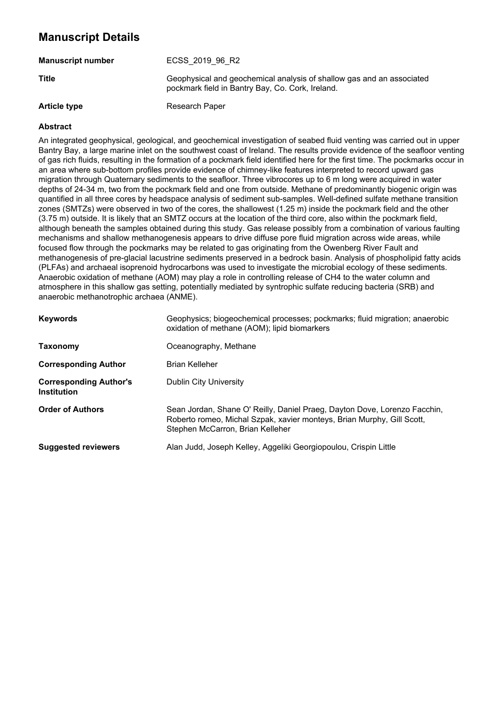# **Manuscript Details**

| <b>Manuscript number</b> | ECSS 2019 96 R2                                                                                                           |
|--------------------------|---------------------------------------------------------------------------------------------------------------------------|
| Title                    | Geophysical and geochemical analysis of shallow gas and an associated<br>pockmark field in Bantry Bay, Co. Cork, Ireland. |
| <b>Article type</b>      | Research Paper                                                                                                            |

#### **Abstract**

An integrated geophysical, geological, and geochemical investigation of seabed fluid venting was carried out in upper Bantry Bay, a large marine inlet on the southwest coast of Ireland. The results provide evidence of the seafloor venting of gas rich fluids, resulting in the formation of a pockmark field identified here for the first time. The pockmarks occur in an area where sub-bottom profiles provide evidence of chimney-like features interpreted to record upward gas migration through Quaternary sediments to the seafloor. Three vibrocores up to 6 m long were acquired in water depths of 24-34 m, two from the pockmark field and one from outside. Methane of predominantly biogenic origin was quantified in all three cores by headspace analysis of sediment sub-samples. Well-defined sulfate methane transition zones (SMTZs) were observed in two of the cores, the shallowest (1.25 m) inside the pockmark field and the other (3.75 m) outside. It is likely that an SMTZ occurs at the location of the third core, also within the pockmark field, although beneath the samples obtained during this study. Gas release possibly from a combination of various faulting mechanisms and shallow methanogenesis appears to drive diffuse pore fluid migration across wide areas, while focused flow through the pockmarks may be related to gas originating from the Owenberg River Fault and methanogenesis of pre-glacial lacustrine sediments preserved in a bedrock basin. Analysis of phospholipid fatty acids (PLFAs) and archaeal isoprenoid hydrocarbons was used to investigate the microbial ecology of these sediments. Anaerobic oxidation of methane (AOM) may play a role in controlling release of CH4 to the water column and atmosphere in this shallow gas setting, potentially mediated by syntrophic sulfate reducing bacteria (SRB) and anaerobic methanotrophic archaea (ANME).

| <b>Keywords</b>                                     | Geophysics; biogeochemical processes; pockmarks; fluid migration; anaerobic<br>oxidation of methane (AOM); lipid biomarkers                                                             |
|-----------------------------------------------------|-----------------------------------------------------------------------------------------------------------------------------------------------------------------------------------------|
| Taxonomy                                            | Oceanography, Methane                                                                                                                                                                   |
| <b>Corresponding Author</b>                         | <b>Brian Kelleher</b>                                                                                                                                                                   |
| <b>Corresponding Author's</b><br><b>Institution</b> | <b>Dublin City University</b>                                                                                                                                                           |
| <b>Order of Authors</b>                             | Sean Jordan, Shane O' Reilly, Daniel Praeg, Dayton Dove, Lorenzo Facchin,<br>Roberto romeo, Michal Szpak, xavier monteys, Brian Murphy, Gill Scott,<br>Stephen McCarron, Brian Kelleher |
| <b>Suggested reviewers</b>                          | Alan Judd, Joseph Kelley, Aggeliki Georgiopoulou, Crispin Little                                                                                                                        |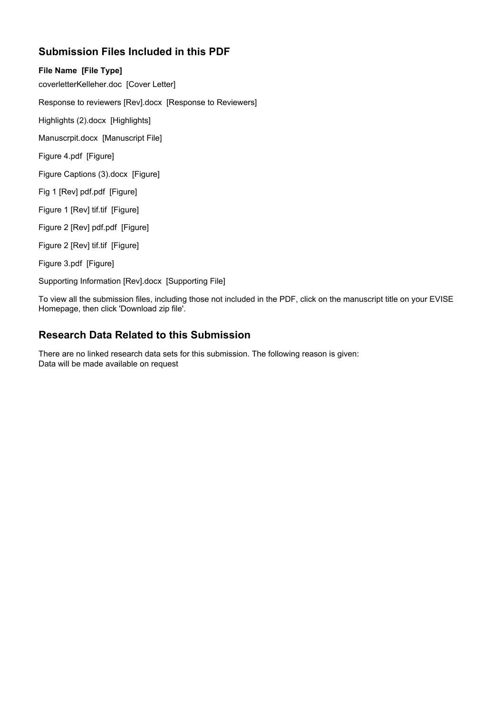# **Submission Files Included in this PDF**

## **File Name [File Type]**

coverletterKelleher.doc [Cover Letter] Response to reviewers [Rev].docx [Response to Reviewers] Highlights (2).docx [Highlights] Manuscrpit.docx [Manuscript File] Figure 4.pdf [Figure] Figure Captions (3).docx [Figure] Fig 1 [Rev] pdf.pdf [Figure] Figure 1 [Rev] tif.tif [Figure] Figure 2 [Rev] pdf.pdf [Figure] Figure 2 [Rev] tif.tif [Figure] Figure 3.pdf [Figure] Supporting Information [Rev].docx [Supporting File]

To view all the submission files, including those not included in the PDF, click on the manuscript title on your EVISE Homepage, then click 'Download zip file'.

## **Research Data Related to this Submission**

There are no linked research data sets for this submission. The following reason is given: Data will be made available on request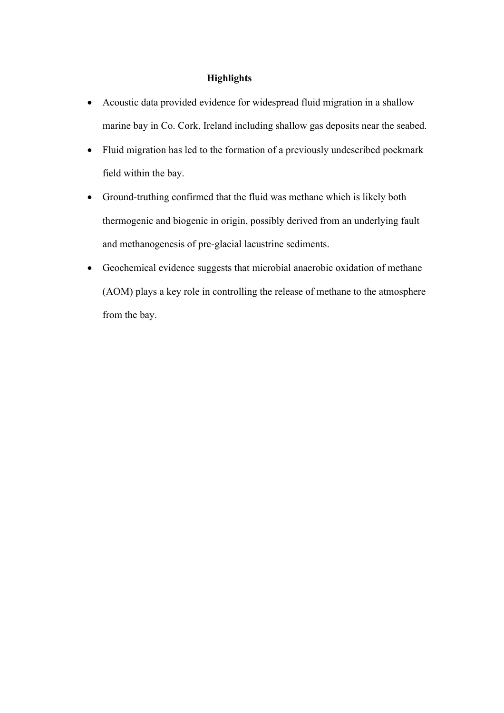### **Highlights**

- Acoustic data provided evidence for widespread fluid migration in a shallow marine bay in Co. Cork, Ireland including shallow gas deposits near the seabed.
- Fluid migration has led to the formation of a previously undescribed pockmark field within the bay.
- Ground-truthing confirmed that the fluid was methane which is likely both thermogenic and biogenic in origin, possibly derived from an underlying fault and methanogenesis of pre-glacial lacustrine sediments.
- Geochemical evidence suggests that microbial anaerobic oxidation of methane (AOM) plays a key role in controlling the release of methane to the atmosphere from the bay.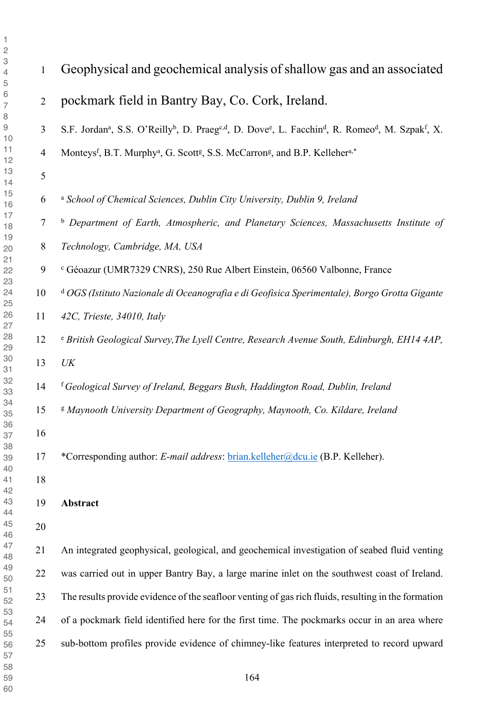| $\mathbf{1}$   | Geophysical and geochemical analysis of shallow gas and an associated                                                                                                                 |
|----------------|---------------------------------------------------------------------------------------------------------------------------------------------------------------------------------------|
| $\overline{2}$ | pockmark field in Bantry Bay, Co. Cork, Ireland.                                                                                                                                      |
| 3              | S.F. Jordan <sup>a</sup> , S.S. O'Reilly <sup>b</sup> , D. Praeg <sup>c,d</sup> , D. Dove <sup>e</sup> , L. Facchin <sup>d</sup> , R. Romeo <sup>d</sup> , M. Szpak <sup>f</sup> , X. |
| $\overline{4}$ | Monteys <sup>f</sup> , B.T. Murphy <sup>a</sup> , G. Scott <sup>g</sup> , S.S. McCarron <sup>g</sup> , and B.P. Kelleher <sup>a,*</sup>                                               |
| 5              |                                                                                                                                                                                       |
| 6              | <sup>a</sup> School of Chemical Sciences, Dublin City University, Dublin 9, Ireland                                                                                                   |
| $\tau$         | <sup>b</sup> Department of Earth, Atmospheric, and Planetary Sciences, Massachusetts Institute of                                                                                     |
| 8              | Technology, Cambridge, MA, USA                                                                                                                                                        |
| 9              | <sup>c</sup> Géoazur (UMR7329 CNRS), 250 Rue Albert Einstein, 06560 Valbonne, France                                                                                                  |
| 10             | d OGS (Istituto Nazionale di Oceanografia e di Geofisica Sperimentale), Borgo Grotta Gigante                                                                                          |
| 11             | 42C, Trieste, 34010, Italy                                                                                                                                                            |
| 12             | <sup>e</sup> British Geological Survey, The Lyell Centre, Research Avenue South, Edinburgh, EH14 4AP,                                                                                 |
| 13             | $U\!K$                                                                                                                                                                                |
| 14             | <sup>f</sup> Geological Survey of Ireland, Beggars Bush, Haddington Road, Dublin, Ireland                                                                                             |
| 15             | <sup>8</sup> Maynooth University Department of Geography, Maynooth, Co. Kildare, Ireland                                                                                              |
| 16             |                                                                                                                                                                                       |
| 17             | *Corresponding author: <i>E-mail address</i> : <i>brian.kelleher@dcu.ie</i> (B.P. Kelleher).                                                                                          |
| 18             |                                                                                                                                                                                       |
| 19             | Abstract                                                                                                                                                                              |
| 20             |                                                                                                                                                                                       |
| 21             | An integrated geophysical, geological, and geochemical investigation of seabed fluid venting                                                                                          |
| 22             | was carried out in upper Bantry Bay, a large marine inlet on the southwest coast of Ireland.                                                                                          |
| 23             | The results provide evidence of the seafloor venting of gas rich fluids, resulting in the formation                                                                                   |
| 24             | of a pockmark field identified here for the first time. The pockmarks occur in an area where                                                                                          |
| 25             | sub-bottom profiles provide evidence of chimney-like features interpreted to record upward                                                                                            |
|                |                                                                                                                                                                                       |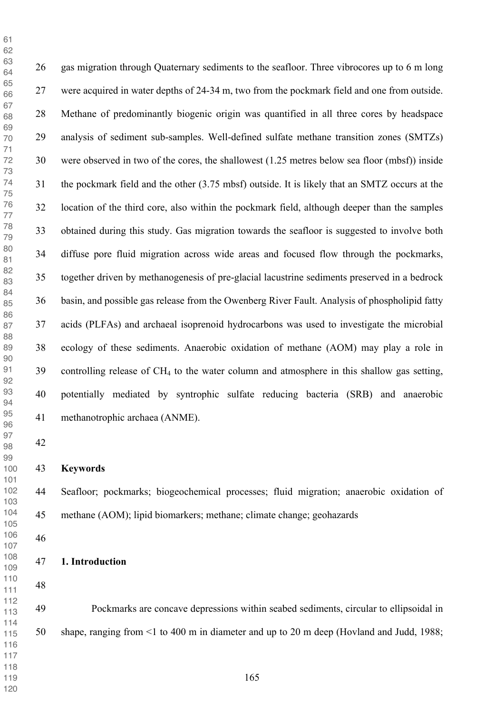26 gas migration through Quaternary sediments to the seafloor. Three vibrocores up to 6 m long 27 were acquired in water depths of 24-34 m, two from the pockmark field and one from outside. 28 Methane of predominantly biogenic origin was quantified in all three cores by headspace 29 analysis of sediment sub-samples. Well-defined sulfate methane transition zones (SMTZs) 30 were observed in two of the cores, the shallowest (1.25 metres below sea floor (mbsf)) inside 31 the pockmark field and the other (3.75 mbsf) outside. It is likely that an SMTZ occurs at the 32 location of the third core, also within the pockmark field, although deeper than the samples 33 obtained during this study. Gas migration towards the seafloor is suggested to involve both 34 diffuse pore fluid migration across wide areas and focused flow through the pockmarks, 35 together driven by methanogenesis of pre-glacial lacustrine sediments preserved in a bedrock 36 basin, and possible gas release from the Owenberg River Fault. Analysis of phospholipid fatty 37 acids (PLFAs) and archaeal isoprenoid hydrocarbons was used to investigate the microbial 38 ecology of these sediments. Anaerobic oxidation of methane (AOM) may play a role in 39 controlling release of CH4 to the water column and atmosphere in this shallow gas setting, 40 potentially mediated by syntrophic sulfate reducing bacteria (SRB) and anaerobic 41 methanotrophic archaea (ANME).

```
43 Keywords
```
44 Seafloor; pockmarks; biogeochemical processes; fluid migration; anaerobic oxidation of 45 methane (AOM); lipid biomarkers; methane; climate change; geohazards

```
47 1. Introduction
```
49 Pockmarks are concave depressions within seabed sediments, circular to ellipsoidal in 50 shape, ranging from <1 to 400 m in diameter and up to 20 m deep (Hovland and Judd, 1988;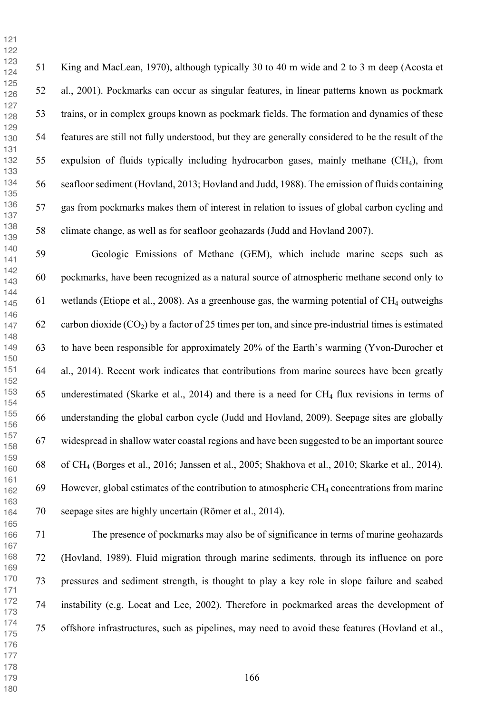51 King and MacLean, 1970), although typically 30 to 40 m wide and 2 to 3 m deep (Acosta et 52 al., 2001). Pockmarks can occur as singular features, in linear patterns known as pockmark 53 trains, or in complex groups known as pockmark fields. The formation and dynamics of these 54 features are still not fully understood, but they are generally considered to be the result of the 55 expulsion of fluids typically including hydrocarbon gases, mainly methane (CH4), from 56 seafloor sediment (Hovland, 2013; Hovland and Judd, 1988). The emission of fluids containing 57 gas from pockmarks makes them of interest in relation to issues of global carbon cycling and 58 climate change, as well as for seafloor geohazards (Judd and Hovland 2007).

59 Geologic Emissions of Methane (GEM), which include marine seeps such as 60 pockmarks, have been recognized as a natural source of atmospheric methane second only to 61 wetlands (Etiope et al., 2008). As a greenhouse gas, the warming potential of  $CH_4$  outweighs 62 carbon dioxide  $(CO<sub>2</sub>)$  by a factor of 25 times per ton, and since pre-industrial times is estimated 63 to have been responsible for approximately 20% of the Earth's warming (Yvon-Durocher et 64 al., 2014). Recent work indicates that contributions from marine sources have been greatly 65 underestimated (Skarke et al., 2014) and there is a need for  $CH_4$  flux revisions in terms of 66 understanding the global carbon cycle (Judd and Hovland, 2009). Seepage sites are globally 67 widespread in shallow water coastal regions and have been suggested to be an important source 68 of CH4 (Borges et al., 2016; Janssen et al., 2005; Shakhova et al., 2010; Skarke et al., 2014). 69 However, global estimates of the contribution to atmospheric  $CH<sub>4</sub>$  concentrations from marine 70 seepage sites are highly uncertain (Römer et al., 2014).

71 The presence of pockmarks may also be of significance in terms of marine geohazards 72 (Hovland, 1989). Fluid migration through marine sediments, through its influence on pore 73 pressures and sediment strength, is thought to play a key role in slope failure and seabed 74 instability (e.g. Locat and Lee, 2002). Therefore in pockmarked areas the development of 75 offshore infrastructures, such as pipelines, may need to avoid these features (Hovland et al.,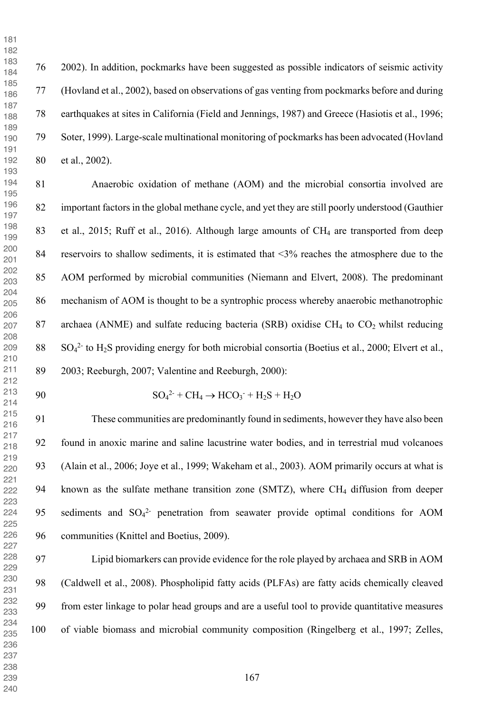76 2002). In addition, pockmarks have been suggested as possible indicators of seismic activity 77 (Hovland et al., 2002), based on observations of gas venting from pockmarks before and during 78 earthquakes at sites in California (Field and Jennings, 1987) and Greece (Hasiotis et al., 1996; 79 Soter, 1999). Large-scale multinational monitoring of pockmarks has been advocated (Hovland 80 et al., 2002).

81 Anaerobic oxidation of methane (AOM) and the microbial consortia involved are 82 important factors in the global methane cycle, and yet they are still poorly understood (Gauthier 83 et al., 2015; Ruff et al., 2016). Although large amounts of CH<sub>4</sub> are transported from deep 84 reservoirs to shallow sediments, it is estimated that <3% reaches the atmosphere due to the 85 AOM performed by microbial communities (Niemann and Elvert, 2008). The predominant 86 mechanism of AOM is thought to be a syntrophic process whereby anaerobic methanotrophic 87 archaea (ANME) and sulfate reducing bacteria (SRB) oxidise  $CH_4$  to  $CO_2$  whilst reducing SO<sub>4</sub><sup>2</sup> to H<sub>2</sub>S providing energy for both microbial consortia (Boetius et al., 2000; Elvert et al., 89 2003; Reeburgh, 2007; Valentine and Reeburgh, 2000):

90  $SO_4^{2-} + CH_4 \rightarrow HCO_3^- + H_2S + H_2O$ 

91 These communities are predominantly found in sediments, however they have also been 92 found in anoxic marine and saline lacustrine water bodies, and in terrestrial mud volcanoes 93 (Alain et al., 2006; Joye et al., 1999; Wakeham et al., 2003). AOM primarily occurs at what is 94 known as the sulfate methane transition zone (SMTZ), where  $CH<sub>4</sub>$  diffusion from deeper 95 sediments and  $SO_4^2$  penetration from seawater provide optimal conditions for AOM 96 communities (Knittel and Boetius, 2009).

97 Lipid biomarkers can provide evidence for the role played by archaea and SRB in AOM 98 (Caldwell et al., 2008). Phospholipid fatty acids (PLFAs) are fatty acids chemically cleaved 99 from ester linkage to polar head groups and are a useful tool to provide quantitative measures 100 of viable biomass and microbial community composition (Ringelberg et al., 1997; Zelles,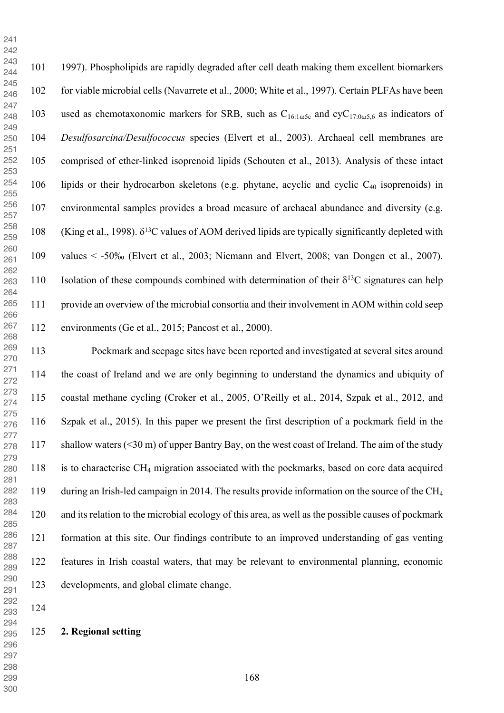101 1997). Phospholipids are rapidly degraded after cell death making them excellent biomarkers 102 for viable microbial cells (Navarrete et al., 2000; White et al., 1997). Certain PLFAs have been 103 used as chemotaxonomic markers for SRB, such as  $C_{16:10:5c}$  and cyC<sub>17:0ω56</sub> as indicators of *Desulfosarcina/Desulfococcus* species (Elvert et al., 2003). Archaeal cell membranes are 105 comprised of ether-linked isoprenoid lipids (Schouten et al., 2013). Analysis of these intact 106 lipids or their hydrocarbon skeletons (e.g. phytane, acyclic and cyclic  $C_{40}$  isoprenoids) in 107 environmental samples provides a broad measure of archaeal abundance and diversity (e.g. 108 (King et al., 1998).  $\delta^{13}$ C values of AOM derived lipids are typically significantly depleted with 109 values < -50‰ (Elvert et al., 2003; Niemann and Elvert, 2008; van Dongen et al., 2007). 110 Isolation of these compounds combined with determination of their  $\delta^{13}C$  signatures can help 111 provide an overview of the microbial consortia and their involvement in AOM within cold seep 112 environments (Ge et al., 2015; Pancost et al., 2000). 

113 Pockmark and seepage sites have been reported and investigated at several sites around 114 the coast of Ireland and we are only beginning to understand the dynamics and ubiquity of 115 coastal methane cycling (Croker et al., 2005, O'Reilly et al., 2014, Szpak et al., 2012, and 116 Szpak et al., 2015). In this paper we present the first description of a pockmark field in the 117 shallow waters (<30 m) of upper Bantry Bay, on the west coast of Ireland. The aim of the study 118 is to characterise  $\text{CH}_4$  migration associated with the pockmarks, based on core data acquired 119 during an Irish-led campaign in 2014. The results provide information on the source of the CH<sub>4</sub> 120 and its relation to the microbial ecology of this area, as well as the possible causes of pockmark 121 formation at this site. Our findings contribute to an improved understanding of gas venting 122 features in Irish coastal waters, that may be relevant to environmental planning, economic 123 developments, and global climate change. 

 

 

#### **2. Regional setting**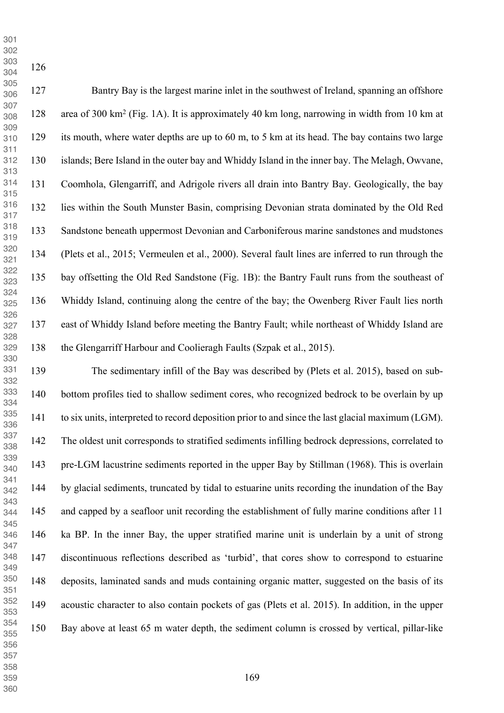127 Bantry Bay is the largest marine inlet in the southwest of Ireland, spanning an offshore 128 area of 300 km2 (Fig. 1A). It is approximately 40 km long, narrowing in width from 10 km at 129 its mouth, where water depths are up to 60 m, to 5 km at its head. The bay contains two large 130 islands; Bere Island in the outer bay and Whiddy Island in the inner bay. The Melagh, Owvane, 131 Coomhola, Glengarriff, and Adrigole rivers all drain into Bantry Bay. Geologically, the bay 132 lies within the South Munster Basin, comprising Devonian strata dominated by the Old Red 133 Sandstone beneath uppermost Devonian and Carboniferous marine sandstones and mudstones 134 (Plets et al., 2015; Vermeulen et al., 2000). Several fault lines are inferred to run through the 135 bay offsetting the Old Red Sandstone (Fig. 1B): the Bantry Fault runs from the southeast of 136 Whiddy Island, continuing along the centre of the bay; the Owenberg River Fault lies north 137 east of Whiddy Island before meeting the Bantry Fault; while northeast of Whiddy Island are 138 the Glengarriff Harbour and Coolieragh Faults (Szpak et al., 2015). 

139 The sedimentary infill of the Bay was described by (Plets et al. 2015), based on sub-140 bottom profiles tied to shallow sediment cores, who recognized bedrock to be overlain by up 141 to six units, interpreted to record deposition prior to and since the last glacial maximum (LGM). 142 The oldest unit corresponds to stratified sediments infilling bedrock depressions, correlated to 143 pre-LGM lacustrine sediments reported in the upper Bay by Stillman (1968). This is overlain 144 by glacial sediments, truncated by tidal to estuarine units recording the inundation of the Bay 145 and capped by a seafloor unit recording the establishment of fully marine conditions after 11 146 ka BP. In the inner Bay, the upper stratified marine unit is underlain by a unit of strong 147 discontinuous reflections described as 'turbid', that cores show to correspond to estuarine 148 deposits, laminated sands and muds containing organic matter, suggested on the basis of its 149 acoustic character to also contain pockets of gas (Plets et al. 2015). In addition, in the upper 150 Bay above at least 65 m water depth, the sediment column is crossed by vertical, pillar-like 

- 
- 
-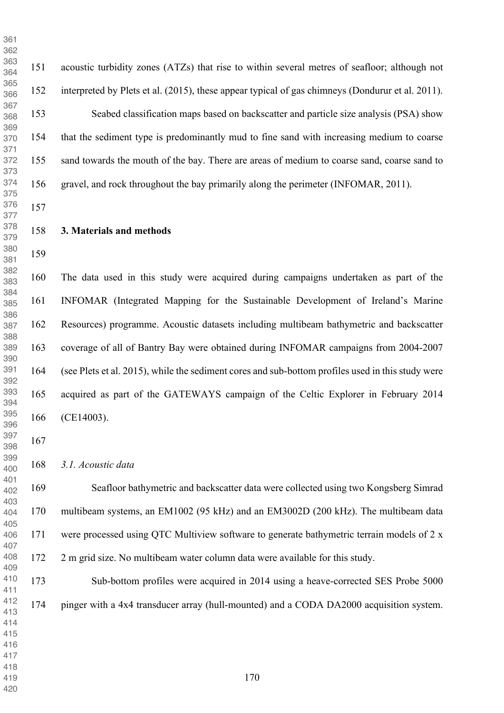151 acoustic turbidity zones (ATZs) that rise to within several metres of seafloor; although not 152 interpreted by Plets et al. (2015), these appear typical of gas chimneys (Dondurur et al. 2011). 153 Seabed classification maps based on backscatter and particle size analysis (PSA) show 154 that the sediment type is predominantly mud to fine sand with increasing medium to coarse 155 sand towards the mouth of the bay. There are areas of medium to coarse sand, coarse sand to 156 gravel, and rock throughout the bay primarily along the perimeter (INFOMAR, 2011).

- **3. Materials and methods**
- 

160 The data used in this study were acquired during campaigns undertaken as part of the 161 INFOMAR (Integrated Mapping for the Sustainable Development of Ireland's Marine 162 Resources) programme. Acoustic datasets including multibeam bathymetric and backscatter 163 coverage of all of Bantry Bay were obtained during INFOMAR campaigns from 2004-2007 164 (see Plets et al. 2015), while the sediment cores and sub-bottom profiles used in this study were 165 acquired as part of the GATEWAYS campaign of the Celtic Explorer in February 2014 166 (CE14003).

*3.1. Acoustic data*

169 Seafloor bathymetric and backscatter data were collected using two Kongsberg Simrad 170 multibeam systems, an EM1002 (95 kHz) and an EM3002D (200 kHz). The multibeam data 171 were processed using OTC Multiview software to generate bathymetric terrain models of 2 x 172 2 m grid size. No multibeam water column data were available for this study.

173 Sub-bottom profiles were acquired in 2014 using a heave-corrected SES Probe 5000 174 pinger with a 4x4 transducer array (hull-mounted) and a CODA DA2000 acquisition system.

- 
- 
-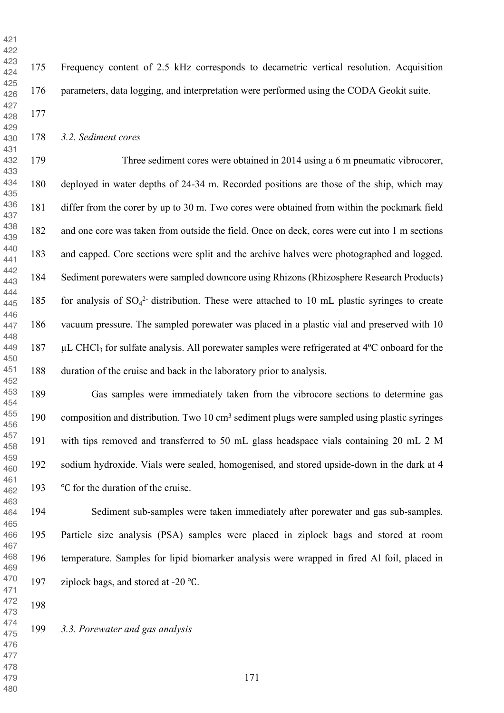175 Frequency content of 2.5 kHz corresponds to decametric vertical resolution. Acquisition 176 parameters, data logging, and interpretation were performed using the CODA Geokit suite.

*3.2. Sediment cores*

179 Three sediment cores were obtained in 2014 using a 6 m pneumatic vibrocorer, 180 deployed in water depths of 24-34 m. Recorded positions are those of the ship, which may 181 differ from the corer by up to 30 m. Two cores were obtained from within the pockmark field 182 and one core was taken from outside the field. Once on deck, cores were cut into 1 m sections 183 and capped. Core sections were split and the archive halves were photographed and logged. 184 Sediment porewaters were sampled downcore using Rhizons (Rhizosphere Research Products) 185 for analysis of  $SO_4^2$ - distribution. These were attached to 10 mL plastic syringes to create 186 vacuum pressure. The sampled porewater was placed in a plastic vial and preserved with 10 187 µL CHCl<sub>3</sub> for sulfate analysis. All porewater samples were refrigerated at 4<sup>o</sup>C onboard for the 188 duration of the cruise and back in the laboratory prior to analysis.

189 Gas samples were immediately taken from the vibrocore sections to determine gas 190 composition and distribution. Two 10 cm3 sediment plugs were sampled using plastic syringes 191 with tips removed and transferred to 50 mL glass headspace vials containing 20 mL 2 M 192 sodium hydroxide. Vials were sealed, homogenised, and stored upside-down in the dark at 4 ℃ for the duration of the cruise.

194 Sediment sub-samples were taken immediately after porewater and gas sub-samples. 195 Particle size analysis (PSA) samples were placed in ziplock bags and stored at room 196 temperature. Samples for lipid biomarker analysis were wrapped in fired Al foil, placed in 197 ziplock bags, and stored at -20 ℃.

 

*3.3. Porewater and gas analysis*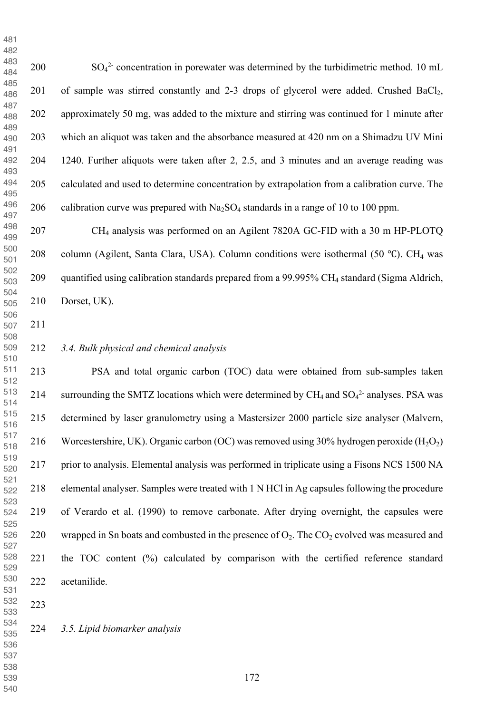SO<sub>4</sub><sup>2</sup> concentration in porewater was determined by the turbidimetric method. 10 mL 201 of sample was stirred constantly and 2-3 drops of glycerol were added. Crushed BaCl<sub>2</sub>, 202 approximately 50 mg, was added to the mixture and stirring was continued for 1 minute after 203 which an aliquot was taken and the absorbance measured at 420 nm on a Shimadzu UV Mini 204 1240. Further aliquots were taken after 2, 2.5, and 3 minutes and an average reading was 205 calculated and used to determine concentration by extrapolation from a calibration curve. The 206 calibration curve was prepared with  $Na<sub>2</sub>SO<sub>4</sub>$  standards in a range of 10 to 100 ppm. 

207 CH4 analysis was performed on an Agilent 7820A GC-FID with a 30 m HP-PLOTQ 208 column (Agilent, Santa Clara, USA). Column conditions were isothermal (50 ℃). CH4 was 209 quantified using calibration standards prepared from a 99.995% CH<sub>4</sub> standard (Sigma Aldrich, 210 Dorset, UK). 

 

 

 

*3.4. Bulk physical and chemical analysis*

213 PSA and total organic carbon (TOC) data were obtained from sub-samples taken 214 surrounding the SMTZ locations which were determined by  $\rm CH_4$  and  $\rm SO_4^2$  analyses. PSA was 215 determined by laser granulometry using a Mastersizer 2000 particle size analyser (Malvern, 216 Worcestershire, UK). Organic carbon (OC) was removed using  $30\%$  hydrogen peroxide (H<sub>2</sub>O<sub>2</sub>) 217 prior to analysis. Elemental analysis was performed in triplicate using a Fisons NCS 1500 NA 218 elemental analyser. Samples were treated with 1 N HCl in Ag capsules following the procedure 219 of Verardo et al. (1990) to remove carbonate. After drying overnight, the capsules were 220 wrapped in Sn boats and combusted in the presence of  $O_2$ . The  $CO_2$  evolved was measured and 221 the TOC content (%) calculated by comparison with the certified reference standard 222 acetanilide. 

 

#### *3.5. Lipid biomarker analysis*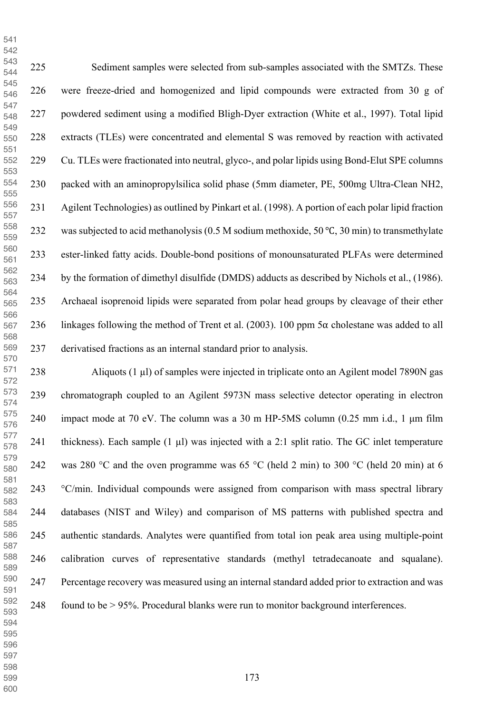225 Sediment samples were selected from sub-samples associated with the SMTZs. These 226 were freeze-dried and homogenized and lipid compounds were extracted from 30 g of 227 powdered sediment using a modified Bligh-Dyer extraction (White et al., 1997). Total lipid 228 extracts (TLEs) were concentrated and elemental S was removed by reaction with activated 229 Cu. TLEs were fractionated into neutral, glyco-, and polar lipids using Bond-Elut SPE columns 230 packed with an aminopropylsilica solid phase (5mm diameter, PE, 500mg Ultra-Clean NH2, 231 Agilent Technologies) as outlined by Pinkart et al. (1998). A portion of each polar lipid fraction 232 was subjected to acid methanolysis (0.5 M sodium methoxide, 50 ℃, 30 min) to transmethylate 233 ester-linked fatty acids. Double-bond positions of monounsaturated PLFAs were determined 234 by the formation of dimethyl disulfide (DMDS) adducts as described by Nichols et al., (1986). 235 Archaeal isoprenoid lipids were separated from polar head groups by cleavage of their ether 236 linkages following the method of Trent et al. (2003). 100 ppm 5 $\alpha$  cholestane was added to all 237 derivatised fractions as an internal standard prior to analysis. 

238 Aliquots (1 µl) of samples were injected in triplicate onto an Agilent model 7890N gas 239 chromatograph coupled to an Agilent 5973N mass selective detector operating in electron 240 impact mode at 70 eV. The column was a 30 m HP-5MS column (0.25 mm i.d., 1 µm film 241 thickness). Each sample  $(1 \mu l)$  was injected with a 2:1 split ratio. The GC inlet temperature 242 was 280 °C and the oven programme was 65 °C (held 2 min) to 300 °C (held 20 min) at 6 243 °C/min. Individual compounds were assigned from comparison with mass spectral library 244 databases (NIST and Wiley) and comparison of MS patterns with published spectra and 245 authentic standards. Analytes were quantified from total ion peak area using multiple-point 246 calibration curves of representative standards (methyl tetradecanoate and squalane). 247 Percentage recovery was measured using an internal standard added prior to extraction and was 248 found to be > 95%. Procedural blanks were run to monitor background interferences. 

 

- 
- 
- 
-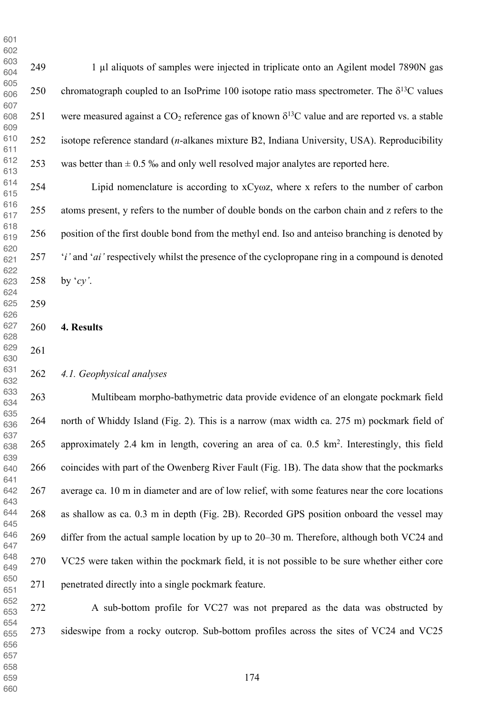249 1 µl aliquots of samples were injected in triplicate onto an Agilent model 7890N gas 250 chromatograph coupled to an IsoPrime 100 isotope ratio mass spectrometer. The  $\delta^{13}$ C values 251 were measured against a  $CO<sub>2</sub>$  reference gas of known  $\delta^{13}$ C value and are reported vs. a stable 252 isotope reference standard (*n*-alkanes mixture B2, Indiana University, USA). Reproducibility 253 was better than  $\pm$  0.5 ‰ and only well resolved major analytes are reported here. 

254 Lipid nomenclature is according to xCyωz, where x refers to the number of carbon 255 atoms present, y refers to the number of double bonds on the carbon chain and z refers to the 256 position of the first double bond from the methyl end. Iso and anteiso branching is denoted by 257 '*i'* and '*ai'* respectively whilst the presence of the cyclopropane ring in a compound is denoted 258 by '*cy'*.

**4. Results**

 

 

 

### *4.1. Geophysical analyses*

263 Multibeam morpho-bathymetric data provide evidence of an elongate pockmark field 264 north of Whiddy Island (Fig. 2). This is a narrow (max width ca. 275 m) pockmark field of 265 approximately 2.4 km in length, covering an area of ca. 0.5 km2. Interestingly, this field 266 coincides with part of the Owenberg River Fault (Fig. 1B). The data show that the pockmarks 267 average ca. 10 m in diameter and are of low relief, with some features near the core locations 268 as shallow as ca. 0.3 m in depth (Fig. 2B). Recorded GPS position onboard the vessel may 269 differ from the actual sample location by up to 20–30 m. Therefore, although both VC24 and 270 VC25 were taken within the pockmark field, it is not possible to be sure whether either core 271 penetrated directly into a single pockmark feature. 

272 A sub-bottom profile for VC27 was not prepared as the data was obstructed by 273 sideswipe from a rocky outcrop. Sub-bottom profiles across the sites of VC24 and VC25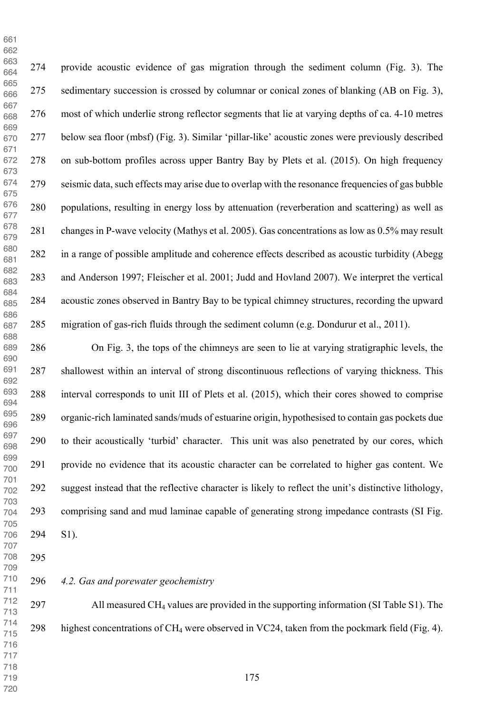274 provide acoustic evidence of gas migration through the sediment column (Fig. 3). The 275 sedimentary succession is crossed by columnar or conical zones of blanking (AB on Fig. 3), 276 most of which underlie strong reflector segments that lie at varying depths of ca. 4-10 metres 277 below sea floor (mbsf) (Fig. 3). Similar 'pillar-like' acoustic zones were previously described 278 on sub-bottom profiles across upper Bantry Bay by Plets et al. (2015). On high frequency 279 seismic data, such effects may arise due to overlap with the resonance frequencies of gas bubble 280 populations, resulting in energy loss by attenuation (reverberation and scattering) as well as 281 changes in P-wave velocity (Mathys et al. 2005). Gas concentrations as low as 0.5% may result 282 in a range of possible amplitude and coherence effects described as acoustic turbidity (Abegg 283 and Anderson 1997; Fleischer et al. 2001; Judd and Hovland 2007). We interpret the vertical 284 acoustic zones observed in Bantry Bay to be typical chimney structures, recording the upward 285 migration of gas-rich fluids through the sediment column (e.g. Dondurur et al., 2011). 

286 On Fig. 3, the tops of the chimneys are seen to lie at varying stratigraphic levels, the 287 shallowest within an interval of strong discontinuous reflections of varying thickness. This 288 interval corresponds to unit III of Plets et al. (2015), which their cores showed to comprise 289 organic-rich laminated sands/muds of estuarine origin, hypothesised to contain gas pockets due 290 to their acoustically 'turbid' character. This unit was also penetrated by our cores, which 291 provide no evidence that its acoustic character can be correlated to higher gas content. We 292 suggest instead that the reflective character is likely to reflect the unit's distinctive lithology, 293 comprising sand and mud laminae capable of generating strong impedance contrasts (SI Fig. 294 S1). 

- 
- 

 

#### *4.2. Gas and porewater geochemistry*

297 All measured CH4 values are provided in the supporting information (SI Table S1). The 298 highest concentrations of CH4 were observed in VC24, taken from the pockmark field (Fig. 4).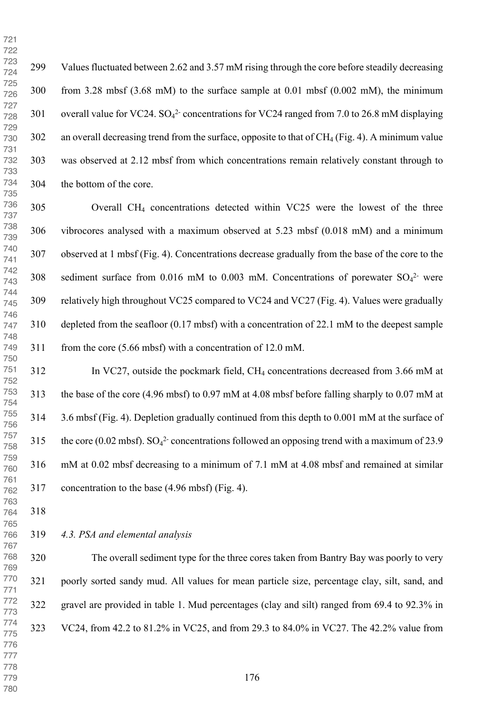299 Values fluctuated between 2.62 and 3.57 mM rising through the core before steadily decreasing 300 from 3.28 mbsf (3.68 mM) to the surface sample at 0.01 mbsf (0.002 mM), the minimum 301 overall value for VC24.  $SO_4^2$  concentrations for VC24 ranged from 7.0 to 26.8 mM displaying 302 an overall decreasing trend from the surface, opposite to that of  $CH_4$  (Fig. 4). A minimum value 303 was observed at 2.12 mbsf from which concentrations remain relatively constant through to 304 the bottom of the core.

305 Overall CH4 concentrations detected within VC25 were the lowest of the three 306 vibrocores analysed with a maximum observed at 5.23 mbsf (0.018 mM) and a minimum 307 observed at 1 mbsf (Fig. 4). Concentrations decrease gradually from the base of the core to the 308 sediment surface from 0.016 mM to 0.003 mM. Concentrations of porewater  $SO_4^2$  were 309 relatively high throughout VC25 compared to VC24 and VC27 (Fig. 4). Values were gradually 310 depleted from the seafloor (0.17 mbsf) with a concentration of 22.1 mM to the deepest sample 311 from the core (5.66 mbsf) with a concentration of 12.0 mM.

312 In VC27, outside the pockmark field, CH4 concentrations decreased from 3.66 mM at 313 the base of the core (4.96 mbsf) to 0.97 mM at 4.08 mbsf before falling sharply to 0.07 mM at 314 3.6 mbsf (Fig. 4). Depletion gradually continued from this depth to 0.001 mM at the surface of 315 the core (0.02 mbsf).  $SO_4^2$  concentrations followed an opposing trend with a maximum of 23.9 316 mM at 0.02 mbsf decreasing to a minimum of 7.1 mM at 4.08 mbsf and remained at similar 317 concentration to the base (4.96 mbsf) (Fig. 4).

 

*4.3. PSA and elemental analysis*

320 The overall sediment type for the three cores taken from Bantry Bay was poorly to very 321 poorly sorted sandy mud. All values for mean particle size, percentage clay, silt, sand, and 322 gravel are provided in table 1. Mud percentages (clay and silt) ranged from 69.4 to 92.3% in 323 VC24, from 42.2 to 81.2% in VC25, and from 29.3 to 84.0% in VC27. The 42.2% value from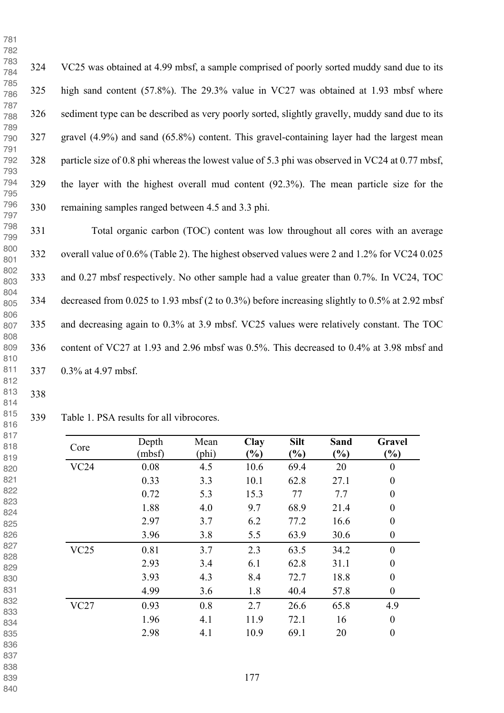324 VC25 was obtained at 4.99 mbsf, a sample comprised of poorly sorted muddy sand due to its 325 high sand content (57.8%). The 29.3% value in VC27 was obtained at 1.93 mbsf where 326 sediment type can be described as very poorly sorted, slightly gravelly, muddy sand due to its 327 gravel (4.9%) and sand (65.8%) content. This gravel-containing layer had the largest mean 328 particle size of 0.8 phi whereas the lowest value of 5.3 phi was observed in VC24 at 0.77 mbsf, 329 the layer with the highest overall mud content (92.3%). The mean particle size for the 330 remaining samples ranged between 4.5 and 3.3 phi. 

331 Total organic carbon (TOC) content was low throughout all cores with an average 332 overall value of 0.6% (Table 2). The highest observed values were 2 and 1.2% for VC24 0.025 333 and 0.27 mbsf respectively. No other sample had a value greater than 0.7%. In VC24, TOC 334 decreased from 0.025 to 1.93 mbsf (2 to 0.3%) before increasing slightly to 0.5% at 2.92 mbsf 335 and decreasing again to 0.3% at 3.9 mbsf. VC25 values were relatively constant. The TOC 336 content of VC27 at 1.93 and 2.96 mbsf was 0.5%. This decreased to 0.4% at 3.98 mbsf and 337 0.3% at 4.97 mbsf. 

 

 

339 Table 1. PSA results for all vibrocores.

| Core | Depth<br>(mbsf) | Mean<br>(phi) | Clay<br>$\left( \frac{0}{0} \right)$ | <b>Silt</b><br>$\frac{9}{6}$ | <b>Sand</b><br>$(\%)$ | Gravel<br>$(\%)$ |
|------|-----------------|---------------|--------------------------------------|------------------------------|-----------------------|------------------|
| VC24 | 0.08            | 4.5           | 10.6                                 | 69.4                         | 20                    | $\theta$         |
|      | 0.33            | 3.3           | 10.1                                 | 62.8                         | 27.1                  | $\overline{0}$   |
|      | 0.72            | 5.3           | 15.3                                 | 77                           | 7.7                   | $\overline{0}$   |
|      | 1.88            | 4.0           | 9.7                                  | 68.9                         | 21.4                  | $\theta$         |
|      | 2.97            | 3.7           | 6.2                                  | 77.2                         | 16.6                  | $\boldsymbol{0}$ |
|      | 3.96            | 3.8           | 5.5                                  | 63.9                         | 30.6                  | $\boldsymbol{0}$ |
| VC25 | 0.81            | 3.7           | 2.3                                  | 63.5                         | 34.2                  | $\overline{0}$   |
|      | 2.93            | 3.4           | 6.1                                  | 62.8                         | 31.1                  | $\theta$         |
|      | 3.93            | 4.3           | 8.4                                  | 72.7                         | 18.8                  | $\overline{0}$   |
|      | 4.99            | 3.6           | 1.8                                  | 40.4                         | 57.8                  | $\boldsymbol{0}$ |
| VC27 | 0.93            | 0.8           | 2.7                                  | 26.6                         | 65.8                  | 4.9              |
|      | 1.96            | 4.1           | 11.9                                 | 72.1                         | 16                    | $\overline{0}$   |
|      | 2.98            | 4.1           | 10.9                                 | 69.1                         | 20                    | $\boldsymbol{0}$ |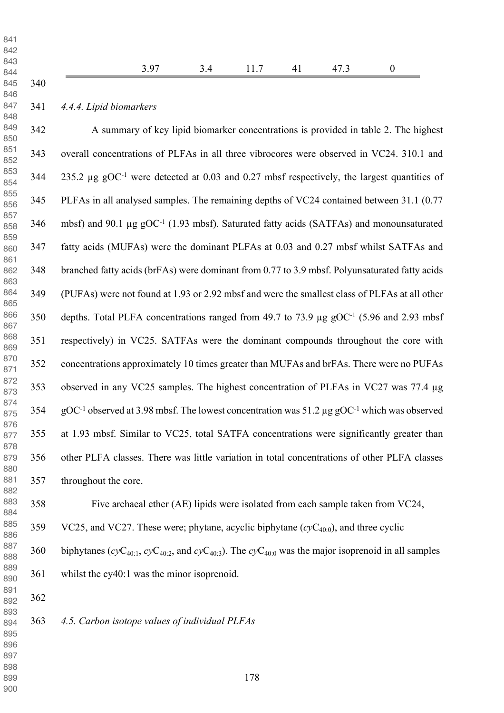| 397 | 34 |  | $\overline{A}$<br>-- |  |
|-----|----|--|----------------------|--|
|     |    |  |                      |  |

*4.4.4. Lipid biomarkers*

342 A summary of key lipid biomarker concentrations is provided in table 2. The highest 343 overall concentrations of PLFAs in all three vibrocores were observed in VC24. 310.1 and 344 235.2 µg gOC<sup>-1</sup> were detected at 0.03 and 0.27 mbsf respectively, the largest quantities of 345 PLFAs in all analysed samples. The remaining depths of VC24 contained between 31.1 (0.77 346 mbsf) and 90.1 µg gOC<sup>-1</sup> (1.93 mbsf). Saturated fatty acids (SATFAs) and monounsaturated 347 fatty acids (MUFAs) were the dominant PLFAs at 0.03 and 0.27 mbsf whilst SATFAs and 348 branched fatty acids (brFAs) were dominant from 0.77 to 3.9 mbsf. Polyunsaturated fatty acids 349 (PUFAs) were not found at 1.93 or 2.92 mbsf and were the smallest class of PLFAs at all other 350 depths. Total PLFA concentrations ranged from 49.7 to 73.9 µg gOC-1 (5.96 and 2.93 mbsf 351 respectively) in VC25. SATFAs were the dominant compounds throughout the core with 352 concentrations approximately 10 times greater than MUFAs and brFAs. There were no PUFAs 353 observed in any VC25 samples. The highest concentration of PLFAs in VC27 was 77.4 µg 354 gOC<sup>-1</sup> observed at 3.98 mbsf. The lowest concentration was 51.2  $\mu$ g gOC<sup>-1</sup> which was observed 355 at 1.93 mbsf. Similar to VC25, total SATFA concentrations were significantly greater than 356 other PLFA classes. There was little variation in total concentrations of other PLFA classes 357 throughout the core. 

358 Five archaeal ether (AE) lipids were isolated from each sample taken from VC24, 359 VC25, and VC27. These were; phytane, acyclic biphytane  $(c_1/C_{40.0})$ , and three cyclic 360 biphytanes ( $\mathcal{CV}C_{40:1}$ ,  $\mathcal{CV}C_{40:2}$ , and  $\mathcal{CV}C_{40:3}$ ). The  $\mathcal{CV}C_{40:0}$  was the major isoprenoid in all samples 361 whilst the cy40:1 was the minor isoprenoid. 

 

- *4.5. Carbon isotope values of individual PLFAs*
-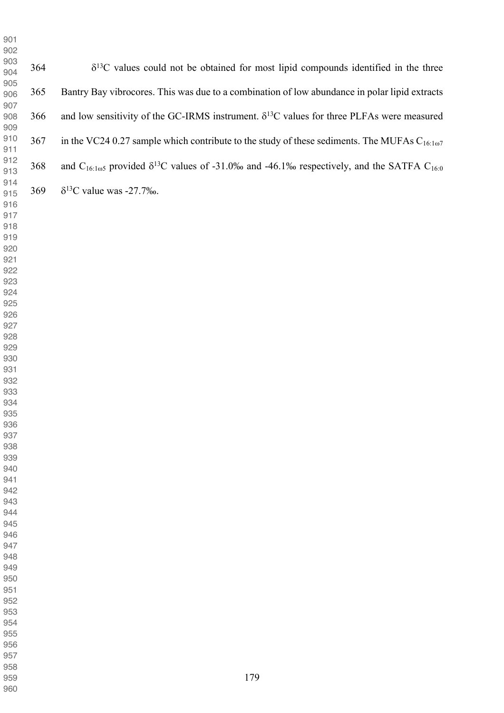| 902        |     |                                                                                                                                                               |
|------------|-----|---------------------------------------------------------------------------------------------------------------------------------------------------------------|
| 903<br>904 | 364 | $\delta^{13}$ C values could not be obtained for most lipid compounds identified in the three                                                                 |
| 905        |     |                                                                                                                                                               |
| 906        | 365 | Bantry Bay vibrocores. This was due to a combination of low abundance in polar lipid extracts                                                                 |
| 907        |     |                                                                                                                                                               |
| 908<br>909 | 366 | and low sensitivity of the GC-IRMS instrument. $\delta^{13}$ C values for three PLFAs were measured                                                           |
| 910        | 367 | in the VC24 0.27 sample which contribute to the study of these sediments. The MUFAs $C_{16:1\omega7}$                                                         |
| 911        |     |                                                                                                                                                               |
| 912<br>913 | 368 | and C <sub>16:1<math>\omega</math>5 provided <math>\delta</math><sup>13</sup>C values of -31.0‰ and -46.1‰ respectively, and the SATFA C<sub>16:0</sub></sub> |
| 914        |     |                                                                                                                                                               |
| 915        | 369 | $\delta^{13}$ C value was -27.7‰.                                                                                                                             |
| 916        |     |                                                                                                                                                               |
| 917        |     |                                                                                                                                                               |
| 918        |     |                                                                                                                                                               |
| 919<br>920 |     |                                                                                                                                                               |
| 921        |     |                                                                                                                                                               |
| 922        |     |                                                                                                                                                               |
| 923        |     |                                                                                                                                                               |
| 924        |     |                                                                                                                                                               |
| 925        |     |                                                                                                                                                               |
| 926        |     |                                                                                                                                                               |
| 927        |     |                                                                                                                                                               |
| 928<br>929 |     |                                                                                                                                                               |
| 930        |     |                                                                                                                                                               |
| 931        |     |                                                                                                                                                               |
| 932        |     |                                                                                                                                                               |
| 933        |     |                                                                                                                                                               |
| 934        |     |                                                                                                                                                               |
| 935        |     |                                                                                                                                                               |
| 936        |     |                                                                                                                                                               |
| 937<br>938 |     |                                                                                                                                                               |
| 939        |     |                                                                                                                                                               |
| 940        |     |                                                                                                                                                               |
| 941        |     |                                                                                                                                                               |
| 942        |     |                                                                                                                                                               |
| 943        |     |                                                                                                                                                               |
| 944        |     |                                                                                                                                                               |
| 945        |     |                                                                                                                                                               |
| 946<br>947 |     |                                                                                                                                                               |
| 948        |     |                                                                                                                                                               |
| 949        |     |                                                                                                                                                               |
| 950        |     |                                                                                                                                                               |
| 951        |     |                                                                                                                                                               |
| 952        |     |                                                                                                                                                               |
| 953        |     |                                                                                                                                                               |
| 954        |     |                                                                                                                                                               |
| 955        |     |                                                                                                                                                               |
| 956<br>957 |     |                                                                                                                                                               |
| 958        |     |                                                                                                                                                               |
| 959        |     | 179                                                                                                                                                           |
| 960        |     |                                                                                                                                                               |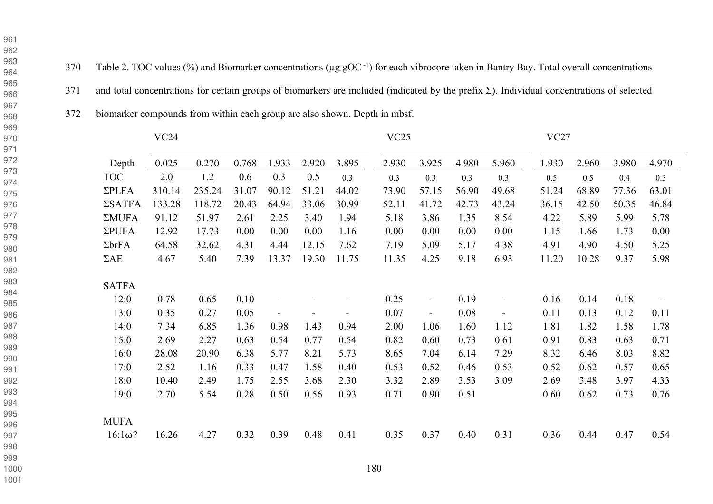| 370 | Table 2. TOC values (%) and Biomarker concentrations (µg gOC <sup>-1</sup> ) for each vibrocore taken in Bantry Bay. Total overall concentrations |        |        |       |                |                |                |       |                |       |                |       |       |       |       |
|-----|---------------------------------------------------------------------------------------------------------------------------------------------------|--------|--------|-------|----------------|----------------|----------------|-------|----------------|-------|----------------|-------|-------|-------|-------|
| 371 | and total concentrations for certain groups of biomarkers are included (indicated by the prefix $\Sigma$ ). Individual concentrations of selected |        |        |       |                |                |                |       |                |       |                |       |       |       |       |
| 372 | biomarker compounds from within each group are also shown. Depth in mbsf.                                                                         |        |        |       |                |                |                |       |                |       |                |       |       |       |       |
|     |                                                                                                                                                   | VC24   |        |       |                |                |                | VC25  |                |       |                | VC27  |       |       |       |
|     | Depth                                                                                                                                             | 0.025  | 0.270  | 0.768 | 1.933          | 2.920          | 3.895          | 2.930 | 3.925          | 4.980 | 5.960          | 1.930 | 2.960 | 3.980 | 4.970 |
|     | <b>TOC</b>                                                                                                                                        | 2.0    | 1.2    | 0.6   | 0.3            | 0.5            | 0.3            | 0.3   | 0.3            | 0.3   | 0.3            | 0.5   | 0.5   | 0.4   | 0.3   |
|     | $\Sigma$ PLFA                                                                                                                                     | 310.14 | 235.24 | 31.07 | 90.12          | 51.21          | 44.02          | 73.90 | 57.15          | 56.90 | 49.68          | 51.24 | 68.89 | 77.36 | 63.01 |
|     | $\Sigma$ SATFA                                                                                                                                    | 133.28 | 118.72 | 20.43 | 64.94          | 33.06          | 30.99          | 52.11 | 41.72          | 42.73 | 43.24          | 36.15 | 42.50 | 50.35 | 46.84 |
|     | $\Sigma MUFA$                                                                                                                                     | 91.12  | 51.97  | 2.61  | 2.25           | 3.40           | 1.94           | 5.18  | 3.86           | 1.35  | 8.54           | 4.22  | 5.89  | 5.99  | 5.78  |
|     | $\Sigma$ PUFA                                                                                                                                     | 12.92  | 17.73  | 0.00  | 0.00           | 0.00           | 1.16           | 0.00  | 0.00           | 0.00  | 0.00           | 1.15  | 1.66  | 1.73  | 0.00  |
|     | $\Sigma$ brFA                                                                                                                                     | 64.58  | 32.62  | 4.31  | 4.44           | 12.15          | 7.62           | 7.19  | 5.09           | 5.17  | 4.38           | 4.91  | 4.90  | 4.50  | 5.25  |
|     | $\Sigma AE$                                                                                                                                       | 4.67   | 5.40   | 7.39  | 13.37          | 19.30          | 11.75          | 11.35 | 4.25           | 9.18  | 6.93           | 11.20 | 10.28 | 9.37  | 5.98  |
|     | <b>SATFA</b>                                                                                                                                      |        |        |       |                |                |                |       |                |       |                |       |       |       |       |
|     | 12:0                                                                                                                                              | 0.78   | 0.65   | 0.10  | $\blacksquare$ |                |                | 0.25  | $\blacksquare$ | 0.19  | $\blacksquare$ | 0.16  | 0.14  | 0.18  |       |
|     | 13:0                                                                                                                                              | 0.35   | 0.27   | 0.05  | $\blacksquare$ | $\blacksquare$ | $\blacksquare$ | 0.07  | $\blacksquare$ | 0.08  | $\blacksquare$ | 0.11  | 0.13  | 0.12  | 0.11  |
|     | 14:0                                                                                                                                              | 7.34   | 6.85   | 1.36  | 0.98           | 1.43           | 0.94           | 2.00  | 1.06           | 1.60  | 1.12           | 1.81  | 1.82  | 1.58  | 1.78  |
|     | 15:0                                                                                                                                              | 2.69   | 2.27   | 0.63  | 0.54           | 0.77           | 0.54           | 0.82  | 0.60           | 0.73  | 0.61           | 0.91  | 0.83  | 0.63  | 0.71  |
|     | 16:0                                                                                                                                              | 28.08  | 20.90  | 6.38  | 5.77           | 8.21           | 5.73           | 8.65  | 7.04           | 6.14  | 7.29           | 8.32  | 6.46  | 8.03  | 8.82  |
|     | 17:0                                                                                                                                              | 2.52   | 1.16   | 0.33  | 0.47           | 1.58           | 0.40           | 0.53  | 0.52           | 0.46  | 0.53           | 0.52  | 0.62  | 0.57  | 0.65  |
|     | 18:0                                                                                                                                              | 10.40  | 2.49   | 1.75  | 2.55           | 3.68           | 2.30           | 3.32  | 2.89           | 3.53  | 3.09           | 2.69  | 3.48  | 3.97  | 4.33  |
|     | 19:0                                                                                                                                              | 2.70   | 5.54   | 0.28  | 0.50           | 0.56           | 0.93           | 0.71  | 0.90           | 0.51  |                | 0.60  | 0.62  | 0.73  | 0.76  |
|     | <b>MUFA</b>                                                                                                                                       |        |        |       |                |                |                |       |                |       |                |       |       |       |       |
|     | $16:1\omega$ ?                                                                                                                                    | 16.26  | 4.27   | 0.32  | 0.39           | 0.48           | 0.41           | 0.35  | 0.37           | 0.40  | 0.31           | 0.36  | 0.44  | 0.47  | 0.54  |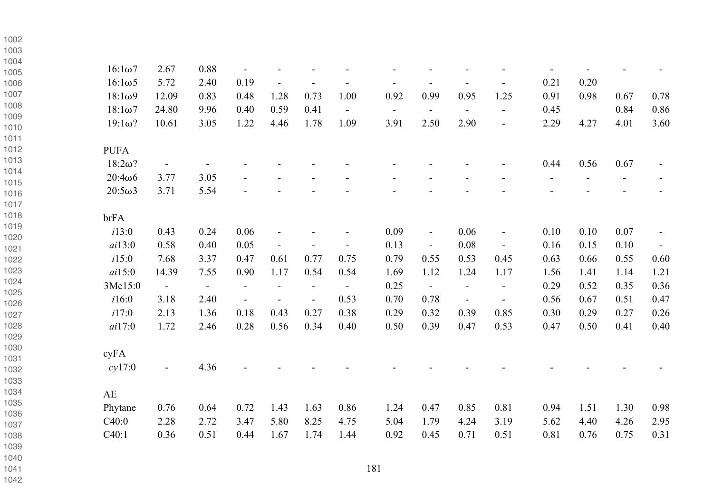| $16:1\omega$ 7 | 2.67           | 0.88           | $\overline{\phantom{a}}$ |                          |                |                          |      |                |      |                          |                |      |                |                |
|----------------|----------------|----------------|--------------------------|--------------------------|----------------|--------------------------|------|----------------|------|--------------------------|----------------|------|----------------|----------------|
| $16:1\omega5$  | 5.72           | 2.40           | 0.19                     |                          |                |                          |      |                |      |                          | 0.21           | 0.20 |                |                |
| $18:1\omega9$  | 12.09          | 0.83           | 0.48                     | 1.28                     | 0.73           | 1.00                     | 0.92 | 0.99           | 0.95 | 1.25                     | 0.91           | 0.98 | 0.67           | 0.78           |
| $18:1\omega$ 7 | 24.80          | 9.96           | 0.40                     | 0.59                     | 0.41           | $\frac{1}{2}$            |      |                |      |                          | 0.45           |      | 0.84           | 0.86           |
| $19:1\omega$ ? | 10.61          | 3.05           | 1.22                     | 4.46                     | 1.78           | 1.09                     | 3.91 | 2.50           | 2.90 | $\blacksquare$           | 2.29           | 4.27 | 4.01           | 3.60           |
| <b>PUFA</b>    |                |                |                          |                          |                |                          |      |                |      |                          |                |      |                |                |
| $18:2\omega$ ? |                |                |                          |                          |                |                          |      |                |      |                          | 0.44           | 0.56 | 0.67           | $\blacksquare$ |
| $20:4\omega$   | 3.77           | 3.05           |                          |                          |                |                          |      |                |      |                          | $\blacksquare$ |      | $\blacksquare$ |                |
| $20:5\omega3$  | 3.71           | 5.54           | $\overline{\phantom{a}}$ |                          |                |                          |      |                |      |                          |                |      |                |                |
| brFA           |                |                |                          |                          |                |                          |      |                |      |                          |                |      |                |                |
| i13:0          | 0.43           | 0.24           | 0.06                     |                          |                |                          | 0.09 | $\blacksquare$ | 0.06 | $\blacksquare$           | 0.10           | 0.10 | 0.07           |                |
| ai13:0         | 0.58           | 0.40           | 0.05                     | $\overline{\phantom{a}}$ |                | $\overline{\phantom{0}}$ | 0.13 | $\blacksquare$ | 0.08 | $\blacksquare$           | 0.16           | 0.15 | 0.10           |                |
| i15:0          | 7.68           | 3.37           | 0.47                     | 0.61                     | 0.77           | 0.75                     | 0.79 | 0.55           | 0.53 | 0.45                     | 0.63           | 0.66 | 0.55           | 0.60           |
| ai15:0         | 14.39          | 7.55           | 0.90                     | 1.17                     | 0.54           | 0.54                     | 1.69 | 1.12           | 1.24 | 1.17                     | 1.56           | 1.41 | 1.14           | 1.21           |
| 3Me15:0        | $\sim$         | $\blacksquare$ |                          |                          | $\blacksquare$ | $\blacksquare$           | 0.25 | $\blacksquare$ |      |                          | 0.29           | 0.52 | 0.35           | 0.36           |
| i16:0          | 3.18           | 2.40           | $\blacksquare$           |                          | $\blacksquare$ | 0.53                     | 0.70 | 0.78           |      | $\overline{\phantom{a}}$ | 0.56           | 0.67 | 0.51           | 0.47           |
| i17:0          | 2.13           | 1.36           | 0.18                     | 0.43                     | 0.27           | 0.38                     | 0.29 | 0.32           | 0.39 | 0.85                     | 0.30           | 0.29 | 0.27           | 0.26           |
| ai17:0         | 1.72           | 2.46           | 0.28                     | 0.56                     | 0.34           | 0.40                     | 0.50 | 0.39           | 0.47 | 0.53                     | 0.47           | 0.50 | 0.41           | 0.40           |
| cyFA           |                |                |                          |                          |                |                          |      |                |      |                          |                |      |                |                |
| cy17:0         | $\blacksquare$ | 4.36           |                          |                          |                |                          |      |                |      |                          |                |      |                |                |
| AE             |                |                |                          |                          |                |                          |      |                |      |                          |                |      |                |                |
| Phytane        | 0.76           | 0.64           | 0.72                     | 1.43                     | 1.63           | 0.86                     | 1.24 | 0.47           | 0.85 | 0.81                     | 0.94           | 1.51 | 1.30           | 0.98           |
| C40:0          | 2.28           | 2.72           | 3.47                     | 5.80                     | 8.25           | 4.75                     | 5.04 | 1.79           | 4.24 | 3.19                     | 5.62           | 4.40 | 4.26           | 2.95           |
| C40:1          | 0.36           | 0.51           | 0.44                     | 1.67                     | 1.74           | 1.44                     | 0.92 | 0.45           | 0.71 | 0.51                     | 0.81           | 0.76 | 0.75           | 0.31           |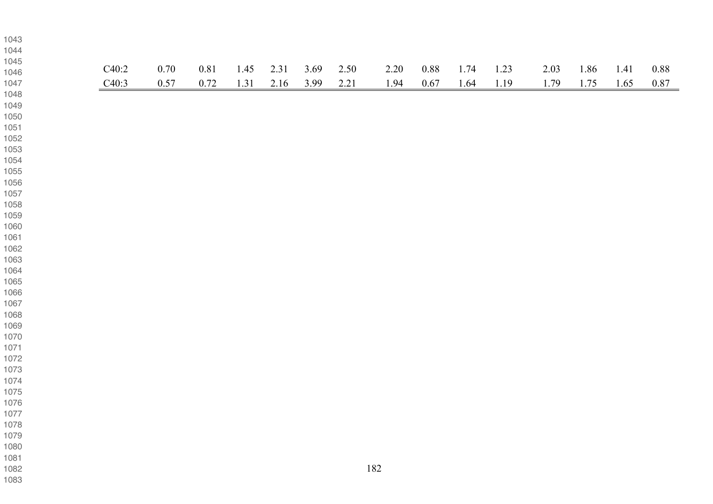| 1043 |       |      |      |      |      |      |      |      |      |      |      |      |      |      |      |
|------|-------|------|------|------|------|------|------|------|------|------|------|------|------|------|------|
| 1044 |       |      |      |      |      |      |      |      |      |      |      |      |      |      |      |
| 1045 |       |      |      |      |      |      |      |      |      |      |      |      |      |      |      |
| 1046 | C40:2 | 0.70 | 0.81 | 1.45 | 2.31 | 3.69 | 2.50 | 2.20 | 0.88 | 1.74 | 1.23 | 2.03 | 1.86 | 1.41 | 0.88 |
| 1047 | C40:3 | 0.57 | 0.72 | 1.31 | 2.16 | 3.99 | 2.21 | 1.94 | 0.67 | 1.64 | 1.19 | 1.79 | 1.75 | 1.65 | 0.87 |
| 1048 |       |      |      |      |      |      |      |      |      |      |      |      |      |      |      |
| 1049 |       |      |      |      |      |      |      |      |      |      |      |      |      |      |      |
| 1050 |       |      |      |      |      |      |      |      |      |      |      |      |      |      |      |
| 1051 |       |      |      |      |      |      |      |      |      |      |      |      |      |      |      |
| 1052 |       |      |      |      |      |      |      |      |      |      |      |      |      |      |      |
| 1053 |       |      |      |      |      |      |      |      |      |      |      |      |      |      |      |
| 1054 |       |      |      |      |      |      |      |      |      |      |      |      |      |      |      |
| 1055 |       |      |      |      |      |      |      |      |      |      |      |      |      |      |      |
| 1056 |       |      |      |      |      |      |      |      |      |      |      |      |      |      |      |
| 1057 |       |      |      |      |      |      |      |      |      |      |      |      |      |      |      |
| 1058 |       |      |      |      |      |      |      |      |      |      |      |      |      |      |      |
| 1059 |       |      |      |      |      |      |      |      |      |      |      |      |      |      |      |
| 1060 |       |      |      |      |      |      |      |      |      |      |      |      |      |      |      |
| 1061 |       |      |      |      |      |      |      |      |      |      |      |      |      |      |      |
| 1062 |       |      |      |      |      |      |      |      |      |      |      |      |      |      |      |
| 1063 |       |      |      |      |      |      |      |      |      |      |      |      |      |      |      |
| 1064 |       |      |      |      |      |      |      |      |      |      |      |      |      |      |      |
| 1065 |       |      |      |      |      |      |      |      |      |      |      |      |      |      |      |
| 1066 |       |      |      |      |      |      |      |      |      |      |      |      |      |      |      |
| 1067 |       |      |      |      |      |      |      |      |      |      |      |      |      |      |      |
| 1068 |       |      |      |      |      |      |      |      |      |      |      |      |      |      |      |
| 1069 |       |      |      |      |      |      |      |      |      |      |      |      |      |      |      |
| 1070 |       |      |      |      |      |      |      |      |      |      |      |      |      |      |      |
| 1071 |       |      |      |      |      |      |      |      |      |      |      |      |      |      |      |
| 1072 |       |      |      |      |      |      |      |      |      |      |      |      |      |      |      |
| 1073 |       |      |      |      |      |      |      |      |      |      |      |      |      |      |      |
| 1074 |       |      |      |      |      |      |      |      |      |      |      |      |      |      |      |
| 1075 |       |      |      |      |      |      |      |      |      |      |      |      |      |      |      |
| 1076 |       |      |      |      |      |      |      |      |      |      |      |      |      |      |      |
| 1077 |       |      |      |      |      |      |      |      |      |      |      |      |      |      |      |
| 1078 |       |      |      |      |      |      |      |      |      |      |      |      |      |      |      |
| 1079 |       |      |      |      |      |      |      |      |      |      |      |      |      |      |      |
| 1080 |       |      |      |      |      |      |      |      |      |      |      |      |      |      |      |
| 1081 |       |      |      |      |      |      |      |      |      |      |      |      |      |      |      |
| 1082 |       |      |      |      |      |      |      | 182  |      |      |      |      |      |      |      |
| 1083 |       |      |      |      |      |      |      |      |      |      |      |      |      |      |      |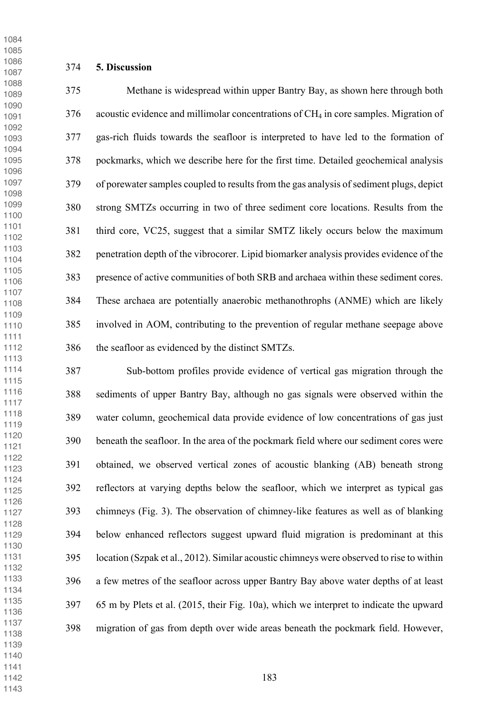#### **5. Discussion**

375 Methane is widespread within upper Bantry Bay, as shown here through both acoustic evidence and millimolar concentrations of CH<sub>4</sub> in core samples. Migration of 377 gas-rich fluids towards the seafloor is interpreted to have led to the formation of 378 pockmarks, which we describe here for the first time. Detailed geochemical analysis 379 of porewater samples coupled to results from the gas analysis of sediment plugs, depict 380 strong SMTZs occurring in two of three sediment core locations. Results from the 381 third core, VC25, suggest that a similar SMTZ likely occurs below the maximum 382 penetration depth of the vibrocorer. Lipid biomarker analysis provides evidence of the 383 presence of active communities of both SRB and archaea within these sediment cores. 384 These archaea are potentially anaerobic methanothrophs (ANME) which are likely 385 involved in AOM, contributing to the prevention of regular methane seepage above 386 the seafloor as evidenced by the distinct SMTZs.

387 Sub-bottom profiles provide evidence of vertical gas migration through the 388 sediments of upper Bantry Bay, although no gas signals were observed within the 389 water column, geochemical data provide evidence of low concentrations of gas just 390 beneath the seafloor. In the area of the pockmark field where our sediment cores were 391 obtained, we observed vertical zones of acoustic blanking (AB) beneath strong 392 reflectors at varying depths below the seafloor, which we interpret as typical gas 393 chimneys (Fig. 3). The observation of chimney-like features as well as of blanking 394 below enhanced reflectors suggest upward fluid migration is predominant at this 395 location (Szpak et al., 2012). Similar acoustic chimneys were observed to rise to within 396 a few metres of the seafloor across upper Bantry Bay above water depths of at least 397 65 m by Plets et al. (2015, their Fig. 10a), which we interpret to indicate the upward 398 migration of gas from depth over wide areas beneath the pockmark field. However,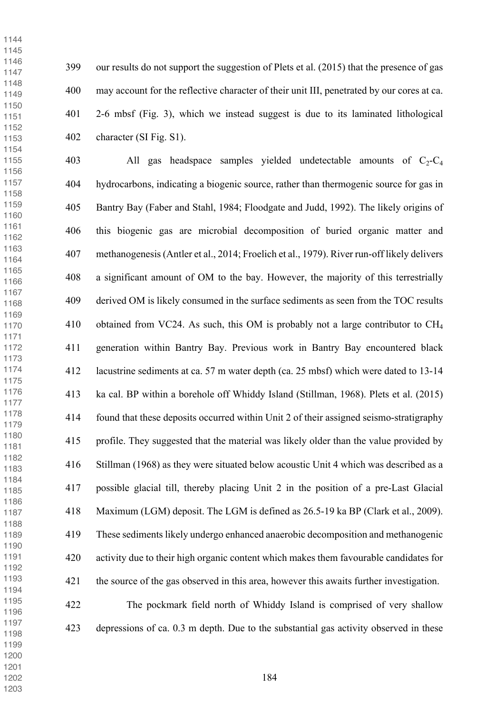399 our results do not support the suggestion of Plets et al. (2015) that the presence of gas 400 may account for the reflective character of their unit III, penetrated by our cores at ca. 401 2-6 mbsf (Fig. 3), which we instead suggest is due to its laminated lithological 402 character (SI Fig. S1).

403 All gas headspace samples yielded undetectable amounts of  $C_2-C_4$ 404 hydrocarbons, indicating a biogenic source, rather than thermogenic source for gas in 405 Bantry Bay (Faber and Stahl, 1984; Floodgate and Judd, 1992). The likely origins of 406 this biogenic gas are microbial decomposition of buried organic matter and 407 methanogenesis (Antler et al., 2014; Froelich et al., 1979). River run-off likely delivers 408 a significant amount of OM to the bay. However, the majority of this terrestrially 409 derived OM is likely consumed in the surface sediments as seen from the TOC results 410 obtained from VC24. As such, this OM is probably not a large contributor to CH4 411 generation within Bantry Bay. Previous work in Bantry Bay encountered black 412 lacustrine sediments at ca. 57 m water depth (ca. 25 mbsf) which were dated to 13-14 413 ka cal. BP within a borehole off Whiddy Island (Stillman, 1968). Plets et al. (2015) 414 found that these deposits occurred within Unit 2 of their assigned seismo-stratigraphy 415 profile. They suggested that the material was likely older than the value provided by 416 Stillman (1968) as they were situated below acoustic Unit 4 which was described as a 417 possible glacial till, thereby placing Unit 2 in the position of a pre-Last Glacial 418 Maximum (LGM) deposit. The LGM is defined as 26.5-19 ka BP (Clark et al., 2009). 419 These sediments likely undergo enhanced anaerobic decomposition and methanogenic 420 activity due to their high organic content which makes them favourable candidates for 421 the source of the gas observed in this area, however this awaits further investigation. 422 The pockmark field north of Whiddy Island is comprised of very shallow

- 423 depressions of ca. 0.3 m depth. Due to the substantial gas activity observed in these
- 

- 
- 
-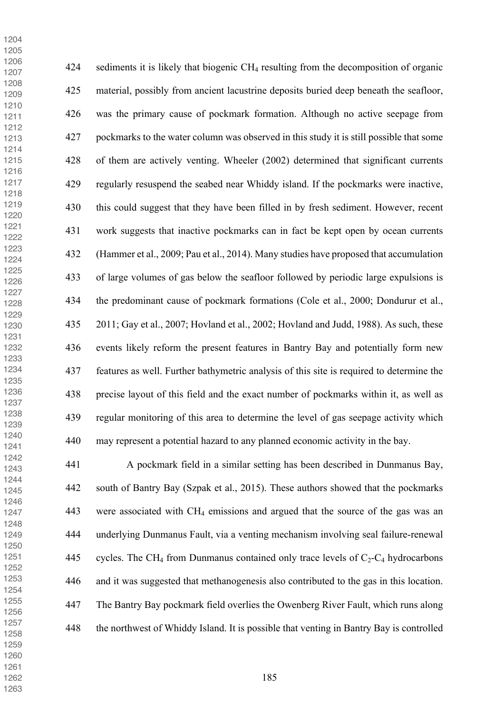424 sediments it is likely that biogenic  $CH<sub>4</sub>$  resulting from the decomposition of organic 425 material, possibly from ancient lacustrine deposits buried deep beneath the seafloor, 426 was the primary cause of pockmark formation. Although no active seepage from 427 pockmarks to the water column was observed in this study it is still possible that some 428 of them are actively venting. Wheeler (2002) determined that significant currents 429 regularly resuspend the seabed near Whiddy island. If the pockmarks were inactive, 430 this could suggest that they have been filled in by fresh sediment. However, recent 431 work suggests that inactive pockmarks can in fact be kept open by ocean currents 432 (Hammer et al., 2009; Pau et al., 2014). Many studies have proposed that accumulation 433 of large volumes of gas below the seafloor followed by periodic large expulsions is 434 the predominant cause of pockmark formations (Cole et al., 2000; Dondurur et al., 435 2011; Gay et al., 2007; Hovland et al., 2002; Hovland and Judd, 1988). As such, these 436 events likely reform the present features in Bantry Bay and potentially form new 437 features as well. Further bathymetric analysis of this site is required to determine the 438 precise layout of this field and the exact number of pockmarks within it, as well as 439 regular monitoring of this area to determine the level of gas seepage activity which 440 may represent a potential hazard to any planned economic activity in the bay.

441 A pockmark field in a similar setting has been described in Dunmanus Bay, 442 south of Bantry Bay (Szpak et al., 2015). These authors showed that the pockmarks 443 were associated with CH4 emissions and argued that the source of the gas was an 444 underlying Dunmanus Fault, via a venting mechanism involving seal failure-renewal 445 cycles. The CH<sub>4</sub> from Dunmanus contained only trace levels of  $C_2$ -C<sub>4</sub> hydrocarbons 446 and it was suggested that methanogenesis also contributed to the gas in this location. 447 The Bantry Bay pockmark field overlies the Owenberg River Fault, which runs along 448 the northwest of Whiddy Island. It is possible that venting in Bantry Bay is controlled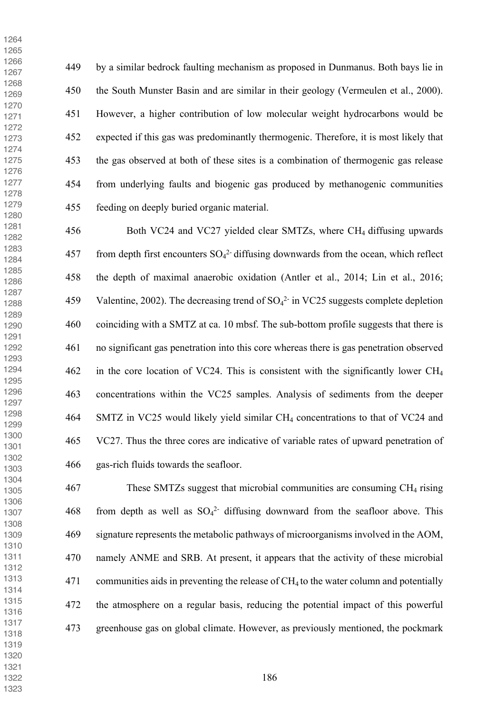449 by a similar bedrock faulting mechanism as proposed in Dunmanus. Both bays lie in 450 the South Munster Basin and are similar in their geology (Vermeulen et al., 2000). 451 However, a higher contribution of low molecular weight hydrocarbons would be 452 expected if this gas was predominantly thermogenic. Therefore, it is most likely that 453 the gas observed at both of these sites is a combination of thermogenic gas release 454 from underlying faults and biogenic gas produced by methanogenic communities 455 feeding on deeply buried organic material.

456 Both VC24 and VC27 yielded clear SMTZs, where CH<sub>4</sub> diffusing upwards 457 from depth first encounters  $SO_4^2$ - diffusing downwards from the ocean, which reflect 458 the depth of maximal anaerobic oxidation (Antler et al., 2014; Lin et al., 2016; 459 Valentine, 2002). The decreasing trend of  $SO_4^2$  in VC25 suggests complete depletion 460 coinciding with a SMTZ at ca. 10 mbsf. The sub-bottom profile suggests that there is 461 no significant gas penetration into this core whereas there is gas penetration observed 462 in the core location of VC24. This is consistent with the significantly lower  $CH<sub>4</sub>$ 463 concentrations within the VC25 samples. Analysis of sediments from the deeper 464 SMTZ in VC25 would likely yield similar CH4 concentrations to that of VC24 and 465 VC27. Thus the three cores are indicative of variable rates of upward penetration of 466 gas-rich fluids towards the seafloor.

467 These SMTZs suggest that microbial communities are consuming CH4 rising 468 from depth as well as  $SO_4^2$ - diffusing downward from the seafloor above. This 469 signature represents the metabolic pathways of microorganisms involved in the AOM, 470 namely ANME and SRB. At present, it appears that the activity of these microbial 471 communities aids in preventing the release of CH4 to the water column and potentially 472 the atmosphere on a regular basis, reducing the potential impact of this powerful 473 greenhouse gas on global climate. However, as previously mentioned, the pockmark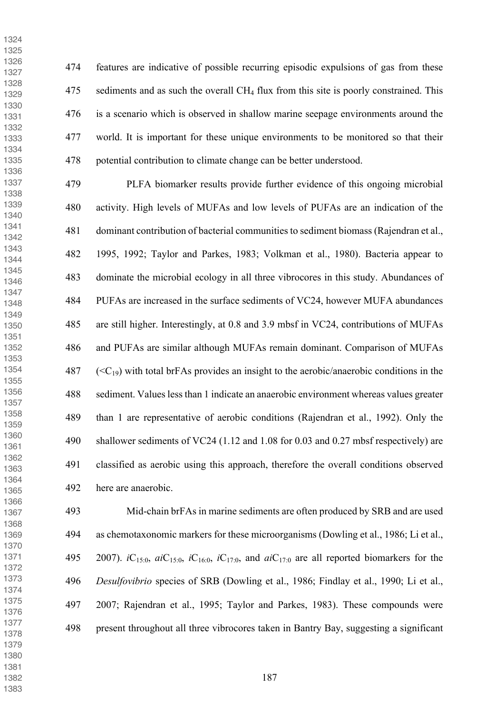474 features are indicative of possible recurring episodic expulsions of gas from these 475 sediments and as such the overall CH<sub>4</sub> flux from this site is poorly constrained. This 476 is a scenario which is observed in shallow marine seepage environments around the 477 world. It is important for these unique environments to be monitored so that their 478 potential contribution to climate change can be better understood.

479 PLFA biomarker results provide further evidence of this ongoing microbial 480 activity. High levels of MUFAs and low levels of PUFAs are an indication of the 481 dominant contribution of bacterial communities to sediment biomass (Rajendran et al., 482 1995, 1992; Taylor and Parkes, 1983; Volkman et al., 1980). Bacteria appear to 483 dominate the microbial ecology in all three vibrocores in this study. Abundances of 484 PUFAs are increased in the surface sediments of VC24, however MUFA abundances 485 are still higher. Interestingly, at 0.8 and 3.9 mbsf in VC24, contributions of MUFAs 486 and PUFAs are similar although MUFAs remain dominant. Comparison of MUFAs  $487 \quad (\leq C_{19})$  with total brFAs provides an insight to the aerobic/anaerobic conditions in the 488 sediment. Values less than 1 indicate an anaerobic environment whereas values greater 489 than 1 are representative of aerobic conditions (Rajendran et al., 1992). Only the 490 shallower sediments of VC24 (1.12 and 1.08 for 0.03 and 0.27 mbsf respectively) are 491 classified as aerobic using this approach, therefore the overall conditions observed 492 here are anaerobic.

493 Mid-chain brFAs in marine sediments are often produced by SRB and are used 494 as chemotaxonomic markers for these microorganisms (Dowling et al., 1986; Li et al., 495 2007).  $iC_{15:0}$ ,  $aiC_{15:0}$ ,  $iC_{16:0}$ ,  $iC_{17:0}$ , and  $aiC_{17:0}$  are all reported biomarkers for the *Desulfovibrio* species of SRB (Dowling et al., 1986; Findlay et al., 1990; Li et al., 497 2007; Rajendran et al., 1995; Taylor and Parkes, 1983). These compounds were 498 present throughout all three vibrocores taken in Bantry Bay, suggesting a significant

 

- 
-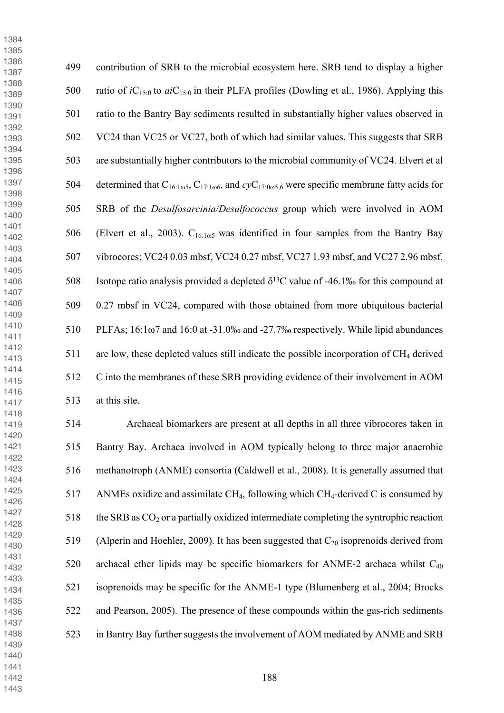| 1385                 |     |                                                                                                                          |
|----------------------|-----|--------------------------------------------------------------------------------------------------------------------------|
| 1386<br>1387         | 499 | contribution of SRB to the microbial ecosystem here. SRB tend to display a higher                                        |
| 1388<br>1389         | 500 | ratio of $iC_{15:0}$ to $aiC_{15:0}$ in their PLFA profiles (Dowling et al., 1986). Applying this                        |
| 1390<br>1391<br>1392 | 501 | ratio to the Bantry Bay sediments resulted in substantially higher values observed in                                    |
| 1393<br>1394         | 502 | VC24 than VC25 or VC27, both of which had similar values. This suggests that SRB                                         |
| 1395<br>1396         | 503 | are substantially higher contributors to the microbial community of VC24. Elvert et al                                   |
| 1397<br>1398         | 504 | determined that $C_{16:1\omega5}$ , $C_{17:1\omega6}$ , and $cyc_{17:0\omega5,6}$ were specific membrane fatty acids for |
| 1399<br>1400         | 505 | SRB of the <i>Desulfosarcinia/Desulfococcus</i> group which were involved in AOM                                         |
| 1401<br>1402         | 506 | (Elvert et al., 2003). $C_{16:1\omega5}$ was identified in four samples from the Bantry Bay                              |
| 1403<br>1404         | 507 | vibrocores; VC24 0.03 mbsf, VC24 0.27 mbsf, VC27 1.93 mbsf, and VC27 2.96 mbsf.                                          |
| 1405<br>1406<br>1407 | 508 | Isotope ratio analysis provided a depleted $\delta^{13}$ C value of -46.1% for this compound at                          |
| 1408<br>1409         | 509 | 0.27 mbsf in VC24, compared with those obtained from more ubiquitous bacterial                                           |
| 1410<br>1411         | 510 | PLFAs; $16:1\omega$ 7 and $16:0$ at -31.0‰ and -27.7‰ respectively. While lipid abundances                               |
| 1412<br>1413         | 511 | are low, these depleted values still indicate the possible incorporation of CH <sub>4</sub> derived                      |
| 1414<br>1415         | 512 | C into the membranes of these SRB providing evidence of their involvement in AOM                                         |
| 1416<br>1417         | 513 | at this site.                                                                                                            |
| 1418<br>1419<br>1420 | 514 | Archaeal biomarkers are present at all depths in all three vibrocores taken in                                           |
| 1421<br>1422         | 515 | Bantry Bay. Archaea involved in AOM typically belong to three major anaerobic                                            |
| 1423<br>1424         | 516 | methanotroph (ANME) consortia (Caldwell et al., 2008). It is generally assumed that                                      |
| 1425<br>1426         | 517 | ANMEs oxidize and assimilate CH <sub>4</sub> , following which CH <sub>4</sub> -derived C is consumed by                 |
| 1427<br>1428         | 518 | the SRB as $CO2$ or a partially oxidized intermediate completing the syntrophic reaction                                 |
| 1429<br>1430         | 519 | (Alperin and Hoehler, 2009). It has been suggested that $C_{20}$ isoprenoids derived from                                |
| 1431<br>1432<br>1433 | 520 | archaeal ether lipids may be specific biomarkers for ANME-2 archaea whilst $C_{40}$                                      |
| 1434<br>1435         | 521 | isoprenoids may be specific for the ANME-1 type (Blumenberg et al., 2004; Brocks                                         |
| 1436<br>1437         | 522 | and Pearson, 2005). The presence of these compounds within the gas-rich sediments                                        |
| 1438<br>1439         | 523 | in Bantry Bay further suggests the involvement of AOM mediated by ANME and SRB                                           |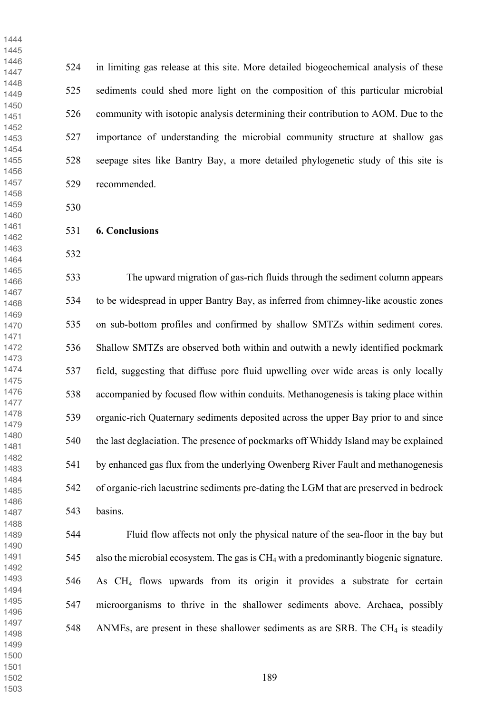524 in limiting gas release at this site. More detailed biogeochemical analysis of these 525 sediments could shed more light on the composition of this particular microbial 526 community with isotopic analysis determining their contribution to AOM. Due to the 527 importance of understanding the microbial community structure at shallow gas 528 seepage sites like Bantry Bay, a more detailed phylogenetic study of this site is 529 recommended.

- **6. Conclusions**
- 

533 The upward migration of gas-rich fluids through the sediment column appears 534 to be widespread in upper Bantry Bay, as inferred from chimney-like acoustic zones 535 on sub-bottom profiles and confirmed by shallow SMTZs within sediment cores. 536 Shallow SMTZs are observed both within and outwith a newly identified pockmark 537 field, suggesting that diffuse pore fluid upwelling over wide areas is only locally 538 accompanied by focused flow within conduits. Methanogenesis is taking place within 539 organic-rich Quaternary sediments deposited across the upper Bay prior to and since 540 the last deglaciation. The presence of pockmarks off Whiddy Island may be explained 541 by enhanced gas flux from the underlying Owenberg River Fault and methanogenesis 542 of organic-rich lacustrine sediments pre-dating the LGM that are preserved in bedrock 543 basins.

544 Fluid flow affects not only the physical nature of the sea-floor in the bay but 545 also the microbial ecosystem. The gas is CH4 with a predominantly biogenic signature. 546 As CH4 flows upwards from its origin it provides a substrate for certain 547 microorganisms to thrive in the shallower sediments above. Archaea, possibly ANMEs, are present in these shallower sediments as are SRB. The CH<sub>4</sub> is steadily

- 
- 
-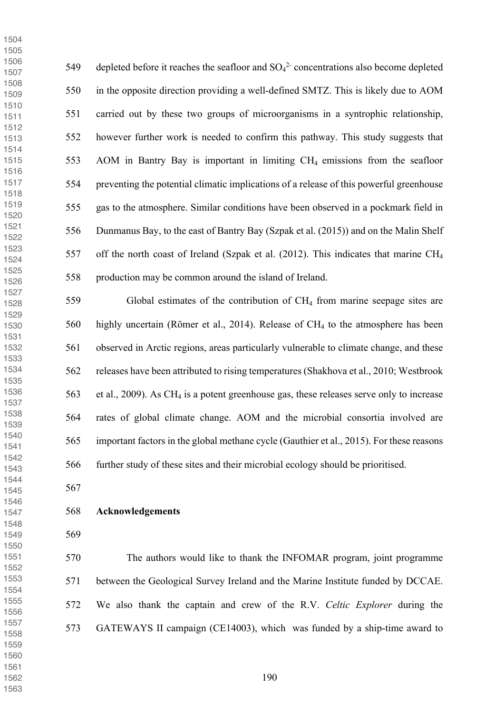549 depleted before it reaches the seafloor and  $SO_4^2$  concentrations also become depleted 550 in the opposite direction providing a well-defined SMTZ. This is likely due to AOM 551 carried out by these two groups of microorganisms in a syntrophic relationship, 552 however further work is needed to confirm this pathway. This study suggests that 553 AOM in Bantry Bay is important in limiting CH<sub>4</sub> emissions from the seafloor 554 preventing the potential climatic implications of a release of this powerful greenhouse 555 gas to the atmosphere. Similar conditions have been observed in a pockmark field in 556 Dunmanus Bay, to the east of Bantry Bay (Szpak et al. (2015)) and on the Malin Shelf 557 off the north coast of Ireland (Szpak et al. (2012). This indicates that marine CH<sub>4</sub> 558 production may be common around the island of Ireland.

559 Global estimates of the contribution of CH4 from marine seepage sites are 560 highly uncertain (Römer et al., 2014). Release of  $CH<sub>4</sub>$  to the atmosphere has been 561 observed in Arctic regions, areas particularly vulnerable to climate change, and these 562 releases have been attributed to rising temperatures (Shakhova et al., 2010; Westbrook 563 et al., 2009). As CH<sub>4</sub> is a potent greenhouse gas, these releases serve only to increase 564 rates of global climate change. AOM and the microbial consortia involved are 565 important factors in the global methane cycle (Gauthier et al., 2015). For these reasons 566 further study of these sites and their microbial ecology should be prioritised.

#### **Acknowledgements**

570 The authors would like to thank the INFOMAR program, joint programme 571 between the Geological Survey Ireland and the Marine Institute funded by DCCAE. 572 We also thank the captain and crew of the R.V. *Celtic Explorer* during the 573 GATEWAYS II campaign (CE14003), which was funded by a ship-time award to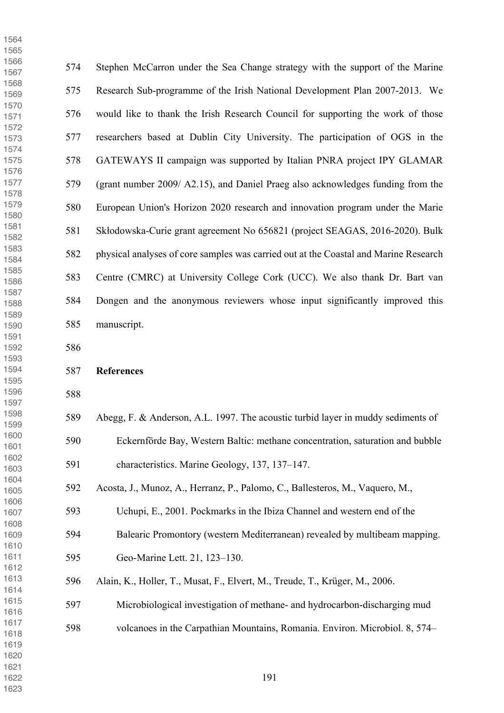| 1565         |     |                                                                                      |
|--------------|-----|--------------------------------------------------------------------------------------|
| 1566         | 574 | Stephen McCarron under the Sea Change strategy with the support of the Marine        |
| 1567         |     |                                                                                      |
| 1568         | 575 | Research Sub-programme of the Irish National Development Plan 2007-2013. We          |
| 1569         |     |                                                                                      |
| 1570         | 576 | would like to thank the Irish Research Council for supporting the work of those      |
| 1571         |     |                                                                                      |
| 1572<br>1573 | 577 | researchers based at Dublin City University. The participation of OGS in the         |
| 1574         |     |                                                                                      |
| 1575         | 578 | GATEWAYS II campaign was supported by Italian PNRA project IPY GLAMAR                |
| 1576         |     |                                                                                      |
| 1577         | 579 | (grant number 2009/ A2.15), and Daniel Praeg also acknowledges funding from the      |
| 1578         |     |                                                                                      |
| 1579         | 580 | European Union's Horizon 2020 research and innovation program under the Marie        |
| 1580         |     |                                                                                      |
| 1581         | 581 | Skłodowska-Curie grant agreement No 656821 (project SEAGAS, 2016-2020). Bulk         |
| 1582         |     |                                                                                      |
| 1583         | 582 | physical analyses of core samples was carried out at the Coastal and Marine Research |
| 1584         |     |                                                                                      |
| 1585<br>1586 | 583 | Centre (CMRC) at University College Cork (UCC). We also thank Dr. Bart van           |
| 1587         |     |                                                                                      |
| 1588         | 584 | Dongen and the anonymous reviewers whose input significantly improved this           |
| 1589         |     |                                                                                      |
| 1590         | 585 | manuscript.                                                                          |
| 1591         |     |                                                                                      |
| 1592         | 586 |                                                                                      |
| 1593         |     |                                                                                      |
| 1594         | 587 | <b>References</b>                                                                    |
| 1595         |     |                                                                                      |
| 1596         | 588 |                                                                                      |
| 1597<br>1598 |     |                                                                                      |
| 1599         | 589 | Abegg, F. & Anderson, A.L. 1997. The acoustic turbid layer in muddy sediments of     |
| 1600         |     |                                                                                      |
| 1601         | 590 | Eckernförde Bay, Western Baltic: methane concentration, saturation and bubble        |
| 1602         |     |                                                                                      |
| 1603         | 591 | characteristics. Marine Geology, 137, 137–147.                                       |
| 1604         |     |                                                                                      |
| 1605         | 592 | Acosta, J., Munoz, A., Herranz, P., Palomo, C., Ballesteros, M., Vaquero, M.,        |
| 1606         | 593 | Uchupi, E., 2001. Pockmarks in the Ibiza Channel and western end of the              |
| 1607<br>1608 |     |                                                                                      |
| 1609         | 594 | Balearic Promontory (western Mediterranean) revealed by multibeam mapping.           |
| 1610         |     |                                                                                      |
| 1611         | 595 | Geo-Marine Lett. 21, 123-130.                                                        |
| 1612         |     |                                                                                      |
| 1613         | 596 | Alain, K., Holler, T., Musat, F., Elvert, M., Treude, T., Krüger, M., 2006.          |
| 1614         |     |                                                                                      |
| 1615         | 597 | Microbiological investigation of methane- and hydrocarbon-discharging mud            |
| 1616         |     |                                                                                      |
| 1617         | 598 | volcanoes in the Carpathian Mountains, Romania. Environ. Microbiol. 8, 574–          |
| 1618<br>1619 |     |                                                                                      |
| 1620         |     |                                                                                      |
| 1621         |     |                                                                                      |
| 1622         |     | 191                                                                                  |
| 1623         |     |                                                                                      |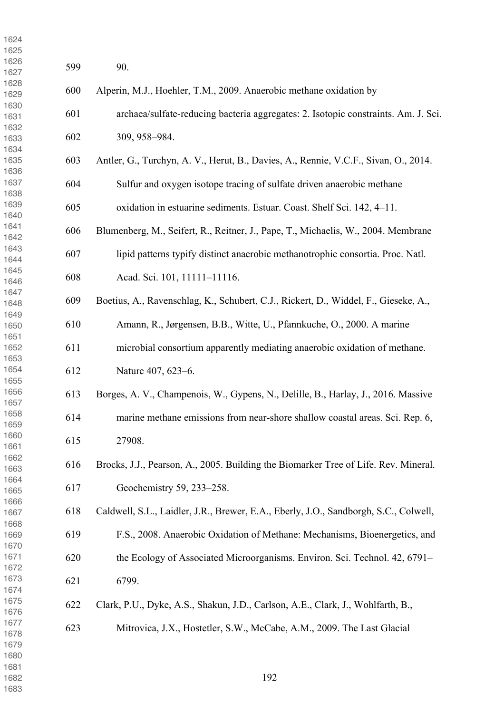| 1624         |     |                                                                                      |
|--------------|-----|--------------------------------------------------------------------------------------|
| 1625         |     |                                                                                      |
| 1626         | 599 | 90.                                                                                  |
| 1627         |     |                                                                                      |
| 1628         | 600 | Alperin, M.J., Hoehler, T.M., 2009. Anaerobic methane oxidation by                   |
| 1629         |     |                                                                                      |
| 1630         | 601 | archaea/sulfate-reducing bacteria aggregates: 2. Isotopic constraints. Am. J. Sci.   |
| 1631         |     |                                                                                      |
| 1632         |     |                                                                                      |
| 1633         | 602 | 309, 958-984.                                                                        |
| 1634         |     |                                                                                      |
| 1635         | 603 | Antler, G., Turchyn, A. V., Herut, B., Davies, A., Rennie, V.C.F., Sivan, O., 2014.  |
| 1636         |     |                                                                                      |
| 1637<br>1638 | 604 | Sulfur and oxygen isotope tracing of sulfate driven anaerobic methane                |
| 1639         |     |                                                                                      |
| 1640         | 605 | oxidation in estuarine sediments. Estuar. Coast. Shelf Sci. 142, 4-11.               |
| 1641         |     |                                                                                      |
| 1642         | 606 | Blumenberg, M., Seifert, R., Reitner, J., Pape, T., Michaelis, W., 2004. Membrane    |
| 1643         |     |                                                                                      |
| 1644         | 607 | lipid patterns typify distinct anaerobic methanotrophic consortia. Proc. Natl.       |
| 1645         |     |                                                                                      |
| 1646         | 608 | Acad. Sci. 101, 11111-11116.                                                         |
| 1647         |     |                                                                                      |
| 1648         | 609 | Boetius, A., Ravenschlag, K., Schubert, C.J., Rickert, D., Widdel, F., Gieseke, A.,  |
| 1649         |     |                                                                                      |
| 1650         | 610 | Amann, R., Jørgensen, B.B., Witte, U., Pfannkuche, O., 2000. A marine                |
| 1651         |     |                                                                                      |
| 1652         | 611 | microbial consortium apparently mediating anaerobic oxidation of methane.            |
| 1653         |     |                                                                                      |
| 1654         | 612 | Nature 407, 623-6.                                                                   |
| 1655         |     |                                                                                      |
| 1656         | 613 | Borges, A. V., Champenois, W., Gypens, N., Delille, B., Harlay, J., 2016. Massive    |
| 1657         |     |                                                                                      |
| 1658         | 614 | marine methane emissions from near-shore shallow coastal areas. Sci. Rep. 6,         |
| 1659         |     |                                                                                      |
| 1660         | 615 | 27908.                                                                               |
| 1661         |     |                                                                                      |
| 1662<br>1663 | 616 | Brocks, J.J., Pearson, A., 2005. Building the Biomarker Tree of Life. Rev. Mineral.  |
| 1664         |     |                                                                                      |
| 1665         | 617 | Geochemistry 59, 233-258.                                                            |
| 1666         |     |                                                                                      |
| 1667         | 618 | Caldwell, S.L., Laidler, J.R., Brewer, E.A., Eberly, J.O., Sandborgh, S.C., Colwell, |
| 1668         |     |                                                                                      |
| 1669         | 619 | F.S., 2008. Anaerobic Oxidation of Methane: Mechanisms, Bioenergetics, and           |
| 1670         |     |                                                                                      |
| 1671         | 620 | the Ecology of Associated Microorganisms. Environ. Sci. Technol. 42, 6791–           |
| 1672         |     |                                                                                      |
| 1673         | 621 | 6799.                                                                                |
| 1674         |     |                                                                                      |
| 1675         | 622 | Clark, P.U., Dyke, A.S., Shakun, J.D., Carlson, A.E., Clark, J., Wohlfarth, B.,      |
| 1676         |     |                                                                                      |
| 1677         | 623 | Mitrovica, J.X., Hostetler, S.W., McCabe, A.M., 2009. The Last Glacial               |
| 1678         |     |                                                                                      |
| 1679         |     |                                                                                      |
| 1680         |     |                                                                                      |
| 1681         |     |                                                                                      |
| 1682         |     | 192                                                                                  |
| 1683         |     |                                                                                      |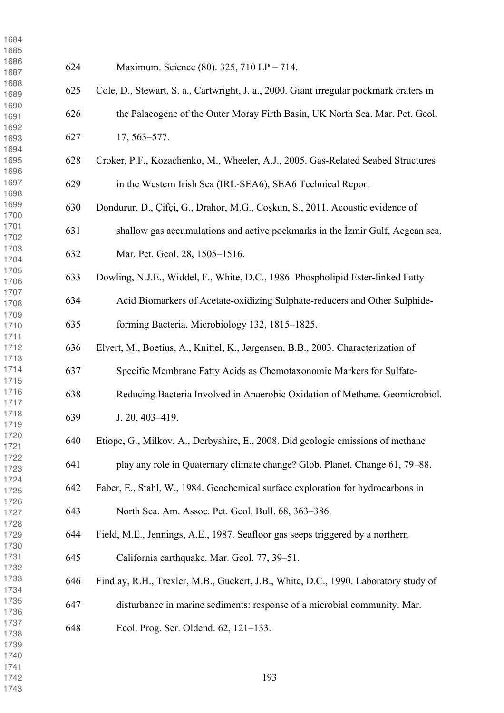| 1684         |     |                                                                                        |
|--------------|-----|----------------------------------------------------------------------------------------|
| 1685         |     |                                                                                        |
| 1686         | 624 | Maximum. Science (80). 325, 710 LP - 714.                                              |
| 1687         |     |                                                                                        |
| 1688<br>1689 | 625 | Cole, D., Stewart, S. a., Cartwright, J. a., 2000. Giant irregular pockmark craters in |
| 1690         |     |                                                                                        |
| 1691         | 626 | the Palaeogene of the Outer Moray Firth Basin, UK North Sea. Mar. Pet. Geol.           |
| 1692         |     |                                                                                        |
| 1693         | 627 | 17, 563-577.                                                                           |
| 1694         |     |                                                                                        |
| 1695         | 628 | Croker, P.F., Kozachenko, M., Wheeler, A.J., 2005. Gas-Related Seabed Structures       |
| 1696<br>1697 |     |                                                                                        |
| 1698         | 629 | in the Western Irish Sea (IRL-SEA6), SEA6 Technical Report                             |
| 1699         | 630 | Dondurur, D., Çifçi, G., Drahor, M.G., Coşkun, S., 2011. Acoustic evidence of          |
| 1700         |     |                                                                                        |
| 1701         | 631 | shallow gas accumulations and active pockmarks in the İzmir Gulf, Aegean sea.          |
| 1702         |     |                                                                                        |
| 1703         | 632 | Mar. Pet. Geol. 28, 1505-1516.                                                         |
| 1704<br>1705 |     |                                                                                        |
| 1706         | 633 | Dowling, N.J.E., Widdel, F., White, D.C., 1986. Phospholipid Ester-linked Fatty        |
| 1707         |     |                                                                                        |
| 1708         | 634 | Acid Biomarkers of Acetate-oxidizing Sulphate-reducers and Other Sulphide-             |
| 1709         |     |                                                                                        |
| 1710         | 635 | forming Bacteria. Microbiology 132, 1815–1825.                                         |
| 1711<br>1712 | 636 | Elvert, M., Boetius, A., Knittel, K., Jørgensen, B.B., 2003. Characterization of       |
| 1713         |     |                                                                                        |
| 1714         | 637 | Specific Membrane Fatty Acids as Chemotaxonomic Markers for Sulfate-                   |
| 1715         |     |                                                                                        |
| 1716         | 638 | Reducing Bacteria Involved in Anaerobic Oxidation of Methane. Geomicrobiol.            |
| 1717         |     |                                                                                        |
| 1718         | 639 | J. 20, 403-419.                                                                        |
| 1719<br>1720 |     |                                                                                        |
| 1721         | 640 | Etiope, G., Milkov, A., Derbyshire, E., 2008. Did geologic emissions of methane        |
| 1722         |     |                                                                                        |
| 1723         | 641 | play any role in Quaternary climate change? Glob. Planet. Change 61, 79–88.            |
| 1724         | 642 | Faber, E., Stahl, W., 1984. Geochemical surface exploration for hydrocarbons in        |
| 1725         |     |                                                                                        |
| 1726<br>1727 | 643 | North Sea. Am. Assoc. Pet. Geol. Bull. 68, 363–386.                                    |
| 1728         |     |                                                                                        |
| 1729         | 644 | Field, M.E., Jennings, A.E., 1987. Seafloor gas seeps triggered by a northern          |
| 1730         |     |                                                                                        |
| 1731         | 645 | California earthquake. Mar. Geol. 77, 39-51.                                           |
| 1732         |     |                                                                                        |
| 1733<br>1734 | 646 | Findlay, R.H., Trexler, M.B., Guckert, J.B., White, D.C., 1990. Laboratory study of    |
| 1735         |     |                                                                                        |
| 1736         | 647 | disturbance in marine sediments: response of a microbial community. Mar.               |
| 1737         |     |                                                                                        |
| 1738         | 648 | Ecol. Prog. Ser. Oldend. 62, 121-133.                                                  |
| 1739         |     |                                                                                        |
| 1740         |     |                                                                                        |
| 1741<br>1742 |     | 193                                                                                    |
| 1743         |     |                                                                                        |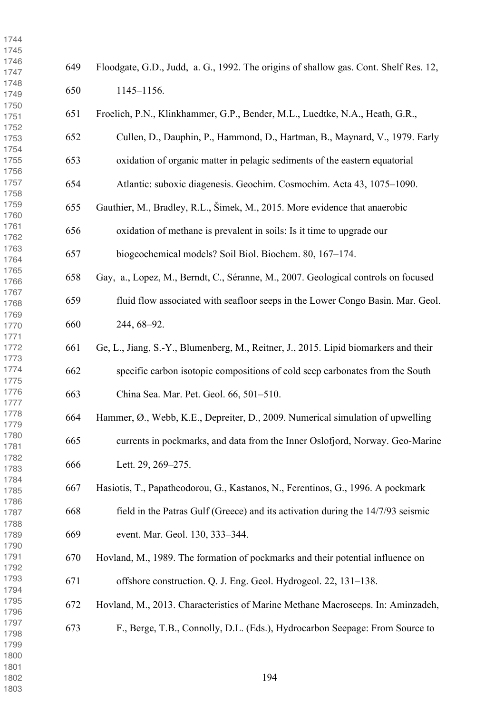| 1744         |     |                                                                                      |
|--------------|-----|--------------------------------------------------------------------------------------|
| 1745         |     |                                                                                      |
| 1746         | 649 | Floodgate, G.D., Judd, a. G., 1992. The origins of shallow gas. Cont. Shelf Res. 12, |
| 1747         |     |                                                                                      |
| 1748         | 650 | 1145-1156.                                                                           |
| 1749         |     |                                                                                      |
| 1750         | 651 | Froelich, P.N., Klinkhammer, G.P., Bender, M.L., Luedtke, N.A., Heath, G.R.,         |
| 1751         |     |                                                                                      |
| 1752         |     |                                                                                      |
| 1753         | 652 | Cullen, D., Dauphin, P., Hammond, D., Hartman, B., Maynard, V., 1979. Early          |
| 1754         |     |                                                                                      |
| 1755<br>1756 | 653 | oxidation of organic matter in pelagic sediments of the eastern equatorial           |
| 1757         |     |                                                                                      |
| 1758         | 654 | Atlantic: suboxic diagenesis. Geochim. Cosmochim. Acta 43, 1075-1090.                |
| 1759         |     |                                                                                      |
| 1760         | 655 | Gauthier, M., Bradley, R.L., Šimek, M., 2015. More evidence that anaerobic           |
| 1761         |     |                                                                                      |
| 1762         | 656 | oxidation of methane is prevalent in soils: Is it time to upgrade our                |
| 1763         |     |                                                                                      |
| 1764         | 657 | biogeochemical models? Soil Biol. Biochem. 80, 167-174.                              |
| 1765         |     |                                                                                      |
| 1766         | 658 | Gay, a., Lopez, M., Berndt, C., Séranne, M., 2007. Geological controls on focused    |
| 1767         |     |                                                                                      |
| 1768         | 659 | fluid flow associated with seafloor seeps in the Lower Congo Basin. Mar. Geol.       |
| 1769         |     |                                                                                      |
| 1770         | 660 | 244, 68-92.                                                                          |
| 1771         |     |                                                                                      |
| 1772         | 661 | Ge, L., Jiang, S.-Y., Blumenberg, M., Reitner, J., 2015. Lipid biomarkers and their  |
| 1773         |     |                                                                                      |
| 1774         | 662 | specific carbon isotopic compositions of cold seep carbonates from the South         |
| 1775<br>1776 |     |                                                                                      |
| 1777         | 663 | China Sea. Mar. Pet. Geol. 66, 501-510.                                              |
| 1778         |     |                                                                                      |
| 1779         | 664 | Hammer, Ø., Webb, K.E., Depreiter, D., 2009. Numerical simulation of upwelling       |
| 1780         |     |                                                                                      |
| 1781         | 665 | currents in pockmarks, and data from the Inner Oslofjord, Norway. Geo-Marine         |
| 1782         |     |                                                                                      |
| 1783         | 666 | Lett. 29, 269-275.                                                                   |
| 1784         |     |                                                                                      |
| 1785         | 667 | Hasiotis, T., Papatheodorou, G., Kastanos, N., Ferentinos, G., 1996. A pockmark      |
| 1786         |     |                                                                                      |
| 1787         | 668 | field in the Patras Gulf (Greece) and its activation during the 14/7/93 seismic      |
| 1788         |     |                                                                                      |
| 1789         | 669 | event. Mar. Geol. 130, 333-344.                                                      |
| 1790         |     |                                                                                      |
| 1791         | 670 | Hovland, M., 1989. The formation of pockmarks and their potential influence on       |
| 1792         |     |                                                                                      |
| 1793         | 671 | offshore construction. Q. J. Eng. Geol. Hydrogeol. 22, 131–138.                      |
| 1794<br>1795 |     |                                                                                      |
| 1796         | 672 | Hovland, M., 2013. Characteristics of Marine Methane Macroseeps. In: Aminzadeh,      |
| 1797         |     |                                                                                      |
| 1798         | 673 | F., Berge, T.B., Connolly, D.L. (Eds.), Hydrocarbon Seepage: From Source to          |
| 1799         |     |                                                                                      |
| 1800         |     |                                                                                      |
| 1801         |     |                                                                                      |
| 1802         |     | 194                                                                                  |
| 1803         |     |                                                                                      |
|              |     |                                                                                      |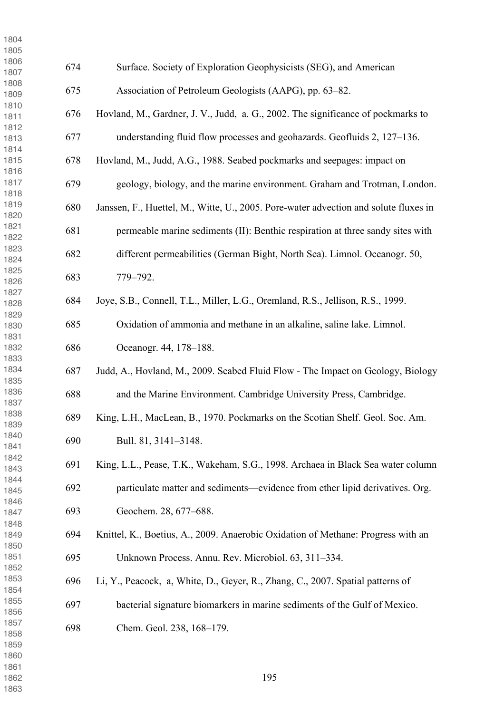| 1805         |     |                                                                                      |
|--------------|-----|--------------------------------------------------------------------------------------|
| 1806         | 674 | Surface. Society of Exploration Geophysicists (SEG), and American                    |
| 1807         |     |                                                                                      |
| 1808         | 675 | Association of Petroleum Geologists (AAPG), pp. 63–82.                               |
| 1809         |     |                                                                                      |
| 1810         | 676 | Hovland, M., Gardner, J. V., Judd, a. G., 2002. The significance of pockmarks to     |
| 1811         |     |                                                                                      |
| 1812         | 677 | understanding fluid flow processes and geohazards. Geofluids 2, 127–136.             |
| 1813<br>1814 |     |                                                                                      |
| 1815         | 678 | Hovland, M., Judd, A.G., 1988. Seabed pockmarks and seepages: impact on              |
| 1816         |     |                                                                                      |
| 1817         | 679 | geology, biology, and the marine environment. Graham and Trotman, London.            |
| 1818         |     |                                                                                      |
| 1819         | 680 | Janssen, F., Huettel, M., Witte, U., 2005. Pore-water advection and solute fluxes in |
| 1820         |     |                                                                                      |
| 1821         | 681 | permeable marine sediments (II): Benthic respiration at three sandy sites with       |
| 1822         |     |                                                                                      |
| 1823         | 682 | different permeabilities (German Bight, North Sea). Limnol. Oceanogr. 50,            |
| 1824         |     |                                                                                      |
| 1825         | 683 | 779-792.                                                                             |
| 1826         |     |                                                                                      |
| 1827         | 684 | Joye, S.B., Connell, T.L., Miller, L.G., Oremland, R.S., Jellison, R.S., 1999.       |
| 1828         |     |                                                                                      |
| 1829         | 685 | Oxidation of ammonia and methane in an alkaline, saline lake. Limnol.                |
| 1830<br>1831 |     |                                                                                      |
| 1832         | 686 | Oceanogr. 44, 178-188.                                                               |
| 1833         |     |                                                                                      |
| 1834         | 687 | Judd, A., Hovland, M., 2009. Seabed Fluid Flow - The Impact on Geology, Biology      |
| 1835         |     |                                                                                      |
| 1836         | 688 | and the Marine Environment. Cambridge University Press, Cambridge.                   |
| 1837         |     |                                                                                      |
| 1838         | 689 | King, L.H., MacLean, B., 1970. Pockmarks on the Scotian Shelf. Geol. Soc. Am.        |
| 1839         |     |                                                                                      |
| 1840         | 690 | Bull. 81, 3141-3148.                                                                 |
| 1841         |     |                                                                                      |
| 1842         | 691 | King, L.L., Pease, T.K., Wakeham, S.G., 1998. Archaea in Black Sea water column      |
| 1843         |     |                                                                                      |
| 1844         | 692 | particulate matter and sediments—evidence from ether lipid derivatives. Org.         |
| 1845         |     |                                                                                      |
| 1846<br>1847 | 693 | Geochem. 28, 677-688.                                                                |
| 1848         |     |                                                                                      |
| 1849         | 694 | Knittel, K., Boetius, A., 2009. Anaerobic Oxidation of Methane: Progress with an     |
| 1850         |     |                                                                                      |
| 1851         | 695 | Unknown Process. Annu. Rev. Microbiol. 63, 311–334.                                  |
| 1852         |     |                                                                                      |
| 1853         | 696 | Li, Y., Peacock, a, White, D., Geyer, R., Zhang, C., 2007. Spatial patterns of       |
| 1854         |     |                                                                                      |
| 1855         | 697 | bacterial signature biomarkers in marine sediments of the Gulf of Mexico.            |
| 1856         |     |                                                                                      |
| 1857         | 698 | Chem. Geol. 238, 168-179.                                                            |
| 1858         |     |                                                                                      |
| 1859         |     |                                                                                      |
| 1860         |     |                                                                                      |
| 1861         |     |                                                                                      |
| 1862<br>1863 |     | 195                                                                                  |
|              |     |                                                                                      |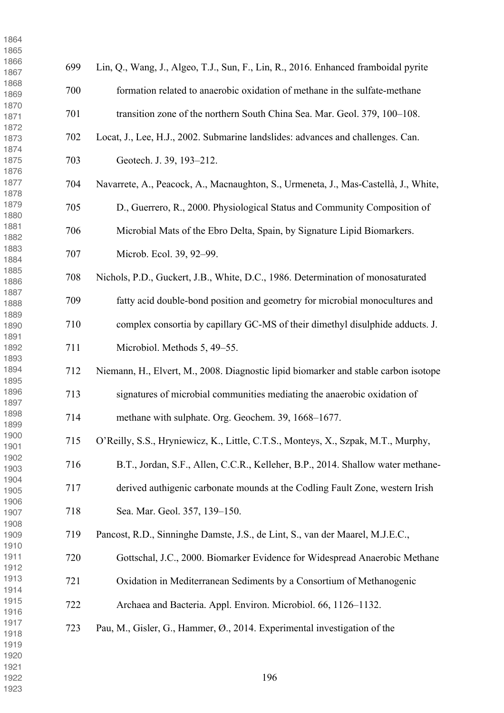| 1865         |     |                                                                                     |
|--------------|-----|-------------------------------------------------------------------------------------|
| 1866<br>1867 | 699 | Lin, Q., Wang, J., Algeo, T.J., Sun, F., Lin, R., 2016. Enhanced framboidal pyrite  |
| 1868         |     |                                                                                     |
| 1869         | 700 | formation related to anaerobic oxidation of methane in the sulfate-methane          |
| 1870         |     |                                                                                     |
| 1871         | 701 | transition zone of the northern South China Sea. Mar. Geol. 379, 100-108.           |
| 1872         |     |                                                                                     |
| 1873         | 702 | Locat, J., Lee, H.J., 2002. Submarine landslides: advances and challenges. Can.     |
| 1874         |     |                                                                                     |
| 1875         | 703 | Geotech. J. 39, 193-212.                                                            |
| 1876         |     |                                                                                     |
| 1877         | 704 | Navarrete, A., Peacock, A., Macnaughton, S., Urmeneta, J., Mas-Castellà, J., White, |
| 1878         |     |                                                                                     |
| 1879<br>1880 | 705 | D., Guerrero, R., 2000. Physiological Status and Community Composition of           |
| 1881         |     |                                                                                     |
| 1882         | 706 | Microbial Mats of the Ebro Delta, Spain, by Signature Lipid Biomarkers.             |
| 1883         |     |                                                                                     |
| 1884         | 707 | Microb. Ecol. 39, 92-99.                                                            |
| 1885         |     |                                                                                     |
| 1886         | 708 | Nichols, P.D., Guckert, J.B., White, D.C., 1986. Determination of monosaturated     |
| 1887         |     |                                                                                     |
| 1888         | 709 | fatty acid double-bond position and geometry for microbial monocultures and         |
| 1889         | 710 | complex consortia by capillary GC-MS of their dimethyl disulphide adducts. J.       |
| 1890<br>1891 |     |                                                                                     |
| 1892         | 711 | Microbiol. Methods 5, 49–55.                                                        |
| 1893         |     |                                                                                     |
| 1894         | 712 | Niemann, H., Elvert, M., 2008. Diagnostic lipid biomarker and stable carbon isotope |
| 1895         |     |                                                                                     |
| 1896         | 713 | signatures of microbial communities mediating the anaerobic oxidation of            |
| 1897         |     |                                                                                     |
| 1898         | 714 | methane with sulphate. Org. Geochem. 39, 1668-1677.                                 |
| 1899         |     |                                                                                     |
| 1900<br>1901 | 715 | O'Reilly, S.S., Hryniewicz, K., Little, C.T.S., Monteys, X., Szpak, M.T., Murphy,   |
| 1902         |     |                                                                                     |
| 1903         | 716 | B.T., Jordan, S.F., Allen, C.C.R., Kelleher, B.P., 2014. Shallow water methane-     |
| 1904         |     |                                                                                     |
| 1905         | 717 | derived authigenic carbonate mounds at the Codling Fault Zone, western Irish        |
| 1906         |     |                                                                                     |
| 1907         | 718 | Sea. Mar. Geol. 357, 139-150.                                                       |
| 1908<br>1909 | 719 | Pancost, R.D., Sinninghe Damste, J.S., de Lint, S., van der Maarel, M.J.E.C.,       |
| 1910         |     |                                                                                     |
| 1911         | 720 | Gottschal, J.C., 2000. Biomarker Evidence for Widespread Anaerobic Methane          |
| 1912         |     |                                                                                     |
| 1913         | 721 | Oxidation in Mediterranean Sediments by a Consortium of Methanogenic                |
| 1914         |     |                                                                                     |
| 1915         | 722 | Archaea and Bacteria. Appl. Environ. Microbiol. 66, 1126–1132.                      |
| 1916         |     |                                                                                     |
| 1917         | 723 | Pau, M., Gisler, G., Hammer, Ø., 2014. Experimental investigation of the            |
| 1918<br>1919 |     |                                                                                     |
| 1920         |     |                                                                                     |
| 1921         |     |                                                                                     |
| 1922         |     | 196                                                                                 |
| 1923         |     |                                                                                     |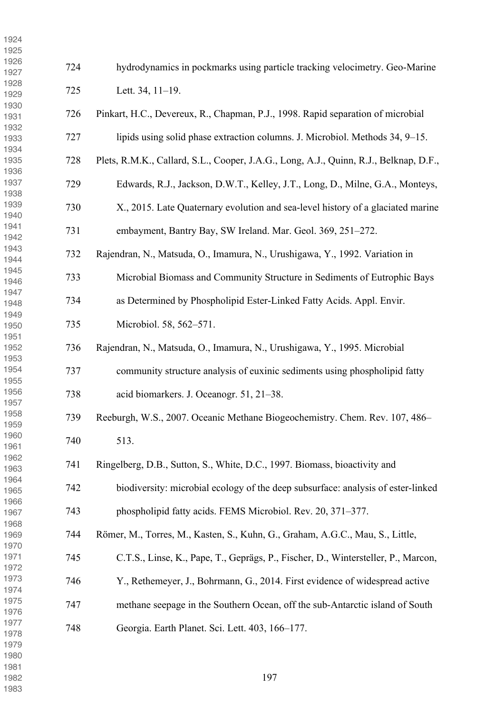| 1924         |     |                                                                                       |
|--------------|-----|---------------------------------------------------------------------------------------|
| 1925         |     |                                                                                       |
| 1926         | 724 | hydrodynamics in pockmarks using particle tracking velocimetry. Geo-Marine            |
| 1927         |     |                                                                                       |
| 1928         | 725 | Lett. 34, 11–19.                                                                      |
| 1929         |     |                                                                                       |
| 1930         | 726 | Pinkart, H.C., Devereux, R., Chapman, P.J., 1998. Rapid separation of microbial       |
| 1931         |     |                                                                                       |
| 1932         |     |                                                                                       |
| 1933         | 727 | lipids using solid phase extraction columns. J. Microbiol. Methods 34, 9–15.          |
| 1934         |     |                                                                                       |
| 1935         | 728 | Plets, R.M.K., Callard, S.L., Cooper, J.A.G., Long, A.J., Quinn, R.J., Belknap, D.F., |
| 1936         |     |                                                                                       |
| 1937<br>1938 | 729 | Edwards, R.J., Jackson, D.W.T., Kelley, J.T., Long, D., Milne, G.A., Monteys,         |
| 1939         |     |                                                                                       |
| 1940         | 730 | X., 2015. Late Quaternary evolution and sea-level history of a glaciated marine       |
| 1941         |     |                                                                                       |
| 1942         | 731 | embayment, Bantry Bay, SW Ireland. Mar. Geol. 369, 251-272.                           |
| 1943         |     |                                                                                       |
| 1944         | 732 | Rajendran, N., Matsuda, O., Imamura, N., Urushigawa, Y., 1992. Variation in           |
| 1945         |     |                                                                                       |
| 1946         | 733 | Microbial Biomass and Community Structure in Sediments of Eutrophic Bays              |
| 1947         |     |                                                                                       |
| 1948         | 734 | as Determined by Phospholipid Ester-Linked Fatty Acids. Appl. Envir.                  |
| 1949         |     |                                                                                       |
| 1950         | 735 | Microbiol. 58, 562–571.                                                               |
| 1951         |     |                                                                                       |
| 1952         | 736 | Rajendran, N., Matsuda, O., Imamura, N., Urushigawa, Y., 1995. Microbial              |
| 1953         |     |                                                                                       |
| 1954         | 737 | community structure analysis of euxinic sediments using phospholipid fatty            |
| 1955         |     |                                                                                       |
| 1956         | 738 | acid biomarkers. J. Oceanogr. 51, 21-38.                                              |
| 1957         |     |                                                                                       |
| 1958<br>1959 | 739 | Reeburgh, W.S., 2007. Oceanic Methane Biogeochemistry. Chem. Rev. 107, 486-           |
| 1960         |     |                                                                                       |
| 1961         | 740 | 513.                                                                                  |
| 1962         |     |                                                                                       |
| 1963         | 741 | Ringelberg, D.B., Sutton, S., White, D.C., 1997. Biomass, bioactivity and             |
| 1964         |     |                                                                                       |
| 1965         | 742 | biodiversity: microbial ecology of the deep subsurface: analysis of ester-linked      |
| 1966         |     |                                                                                       |
| 1967         | 743 | phospholipid fatty acids. FEMS Microbiol. Rev. 20, 371–377.                           |
| 1968         |     |                                                                                       |
| 1969         | 744 | Römer, M., Torres, M., Kasten, S., Kuhn, G., Graham, A.G.C., Mau, S., Little,         |
| 1970         |     |                                                                                       |
| 1971         | 745 | C.T.S., Linse, K., Pape, T., Geprägs, P., Fischer, D., Wintersteller, P., Marcon,     |
| 1972         |     |                                                                                       |
| 1973         | 746 | Y., Rethemeyer, J., Bohrmann, G., 2014. First evidence of widespread active           |
| 1974         |     |                                                                                       |
| 1975         | 747 | methane seepage in the Southern Ocean, off the sub-Antarctic island of South          |
| 1976<br>1977 |     |                                                                                       |
| 1978         | 748 | Georgia. Earth Planet. Sci. Lett. 403, 166-177.                                       |
| 1979         |     |                                                                                       |
| 1980         |     |                                                                                       |
| 1981         |     |                                                                                       |
| 1982         |     | 197                                                                                   |
| 1983         |     |                                                                                       |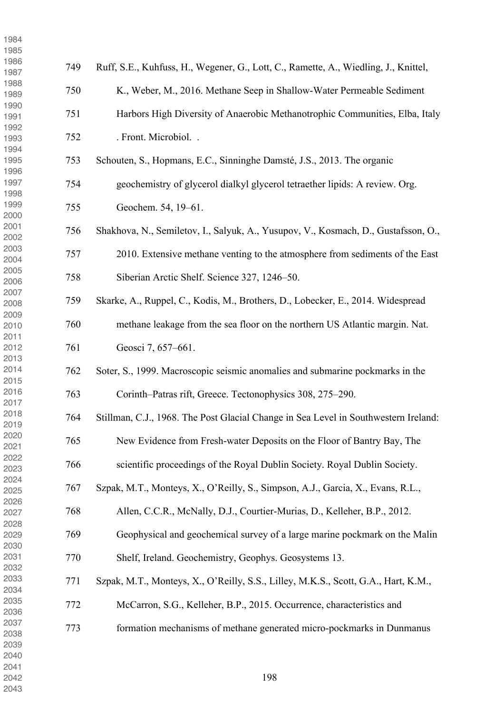| 1984         |     |                                                                                     |
|--------------|-----|-------------------------------------------------------------------------------------|
| 1985         |     |                                                                                     |
| 1986         | 749 | Ruff, S.E., Kuhfuss, H., Wegener, G., Lott, C., Ramette, A., Wiedling, J., Knittel, |
| 1987         |     |                                                                                     |
| 1988         | 750 | K., Weber, M., 2016. Methane Seep in Shallow-Water Permeable Sediment               |
| 1989         |     |                                                                                     |
| 1990<br>1991 | 751 | Harbors High Diversity of Anaerobic Methanotrophic Communities, Elba, Italy         |
| 1992         |     |                                                                                     |
| 1993         | 752 | . Front. Microbiol. .                                                               |
| 1994         |     |                                                                                     |
| 1995         | 753 | Schouten, S., Hopmans, E.C., Sinninghe Damsté, J.S., 2013. The organic              |
| 1996         |     |                                                                                     |
| 1997         | 754 | geochemistry of glycerol dialkyl glycerol tetraether lipids: A review. Org.         |
| 1998         |     |                                                                                     |
| 1999         | 755 | Geochem. 54, 19-61.                                                                 |
| 2000         |     |                                                                                     |
| 2001         | 756 | Shakhova, N., Semiletov, I., Salyuk, A., Yusupov, V., Kosmach, D., Gustafsson, O.,  |
| 2002         |     |                                                                                     |
| 2003         | 757 | 2010. Extensive methane venting to the atmosphere from sediments of the East        |
| 2004<br>2005 |     |                                                                                     |
| 2006         | 758 | Siberian Arctic Shelf. Science 327, 1246-50.                                        |
| 2007         |     |                                                                                     |
| 2008         | 759 | Skarke, A., Ruppel, C., Kodis, M., Brothers, D., Lobecker, E., 2014. Widespread     |
| 2009         |     |                                                                                     |
| 2010         | 760 | methane leakage from the sea floor on the northern US Atlantic margin. Nat.         |
| 2011         |     |                                                                                     |
| 2012         | 761 | Geosci 7, 657-661.                                                                  |
| 2013         |     |                                                                                     |
| 2014         | 762 | Soter, S., 1999. Macroscopic seismic anomalies and submarine pockmarks in the       |
| 2015         |     |                                                                                     |
| 2016<br>2017 | 763 | Corinth–Patras rift, Greece. Tectonophysics 308, 275–290.                           |
| 2018         |     |                                                                                     |
| 2019         | 764 | Stillman, C.J., 1968. The Post Glacial Change in Sea Level in Southwestern Ireland: |
| 2020         |     |                                                                                     |
| 2021         | 765 | New Evidence from Fresh-water Deposits on the Floor of Bantry Bay, The              |
| 2022         | 766 | scientific proceedings of the Royal Dublin Society. Royal Dublin Society.           |
| 2023         |     |                                                                                     |
| 2024         | 767 | Szpak, M.T., Monteys, X., O'Reilly, S., Simpson, A.J., Garcia, X., Evans, R.L.,     |
| 2025         |     |                                                                                     |
| 2026<br>2027 | 768 | Allen, C.C.R., McNally, D.J., Courtier-Murias, D., Kelleher, B.P., 2012.            |
| 2028         |     |                                                                                     |
| 2029         | 769 | Geophysical and geochemical survey of a large marine pockmark on the Malin          |
| 2030         |     |                                                                                     |
| 2031         | 770 | Shelf, Ireland. Geochemistry, Geophys. Geosystems 13.                               |
| 2032         |     |                                                                                     |
| 2033         | 771 | Szpak, M.T., Monteys, X., O'Reilly, S.S., Lilley, M.K.S., Scott, G.A., Hart, K.M.,  |
| 2034         |     |                                                                                     |
| 2035         | 772 | McCarron, S.G., Kelleher, B.P., 2015. Occurrence, characteristics and               |
| 2036         |     |                                                                                     |
| 2037         | 773 | formation mechanisms of methane generated micro-pockmarks in Dunmanus               |
| 2038<br>2039 |     |                                                                                     |
| 2040         |     |                                                                                     |
| 2041         |     |                                                                                     |
| 2042         |     | 198                                                                                 |
| 2043         |     |                                                                                     |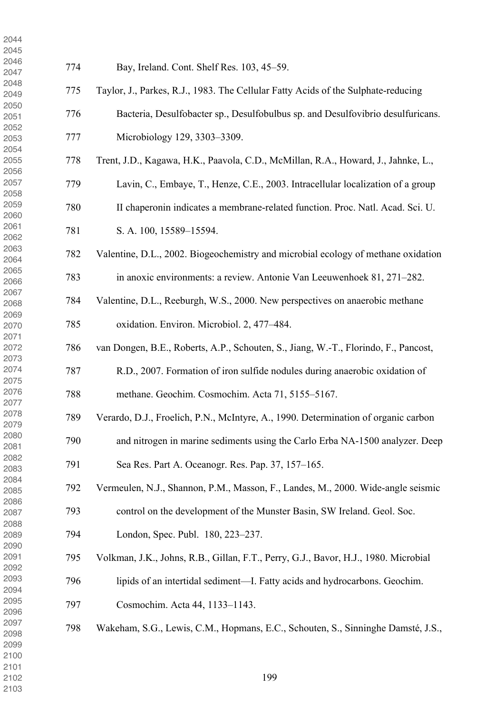| 2045         |     |                                                                                     |
|--------------|-----|-------------------------------------------------------------------------------------|
| 2046         | 774 | Bay, Ireland. Cont. Shelf Res. 103, 45–59.                                          |
| 2047         |     |                                                                                     |
| 2048<br>2049 | 775 | Taylor, J., Parkes, R.J., 1983. The Cellular Fatty Acids of the Sulphate-reducing   |
| 2050         |     |                                                                                     |
| 2051         | 776 | Bacteria, Desulfobacter sp., Desulfobulbus sp. and Desulfovibrio desulfuricans.     |
| 2052         |     |                                                                                     |
| 2053         | 777 | Microbiology 129, 3303-3309.                                                        |
| 2054         |     |                                                                                     |
| 2055         | 778 | Trent, J.D., Kagawa, H.K., Paavola, C.D., McMillan, R.A., Howard, J., Jahnke, L.,   |
| 2056         |     |                                                                                     |
| 2057         | 779 | Lavin, C., Embaye, T., Henze, C.E., 2003. Intracellular localization of a group     |
| 2058         |     |                                                                                     |
| 2059<br>2060 | 780 | II chaperonin indicates a membrane-related function. Proc. Natl. Acad. Sci. U.      |
| 2061         |     |                                                                                     |
| 2062         | 781 | S. A. 100, 15589-15594.                                                             |
| 2063         |     |                                                                                     |
| 2064         | 782 | Valentine, D.L., 2002. Biogeochemistry and microbial ecology of methane oxidation   |
| 2065         | 783 | in anoxic environments: a review. Antonie Van Leeuwenhoek 81, 271–282.              |
| 2066         |     |                                                                                     |
| 2067         | 784 | Valentine, D.L., Reeburgh, W.S., 2000. New perspectives on anaerobic methane        |
| 2068<br>2069 |     |                                                                                     |
| 2070         | 785 | oxidation. Environ. Microbiol. 2, 477-484.                                          |
| 2071         |     |                                                                                     |
| 2072         | 786 | van Dongen, B.E., Roberts, A.P., Schouten, S., Jiang, W.-T., Florindo, F., Pancost, |
| 2073         |     |                                                                                     |
| 2074         | 787 | R.D., 2007. Formation of iron sulfide nodules during anaerobic oxidation of         |
| 2075         |     |                                                                                     |
| 2076         | 788 | methane. Geochim. Cosmochim. Acta 71, 5155-5167.                                    |
| 2077<br>2078 |     |                                                                                     |
| 2079         | 789 | Verardo, D.J., Froelich, P.N., McIntyre, A., 1990. Determination of organic carbon  |
| 2080         |     |                                                                                     |
| 2081         | 790 | and nitrogen in marine sediments using the Carlo Erba NA-1500 analyzer. Deep        |
| 2082         |     |                                                                                     |
| 2083         | 791 | Sea Res. Part A. Oceanogr. Res. Pap. 37, 157–165.                                   |
| 2084         | 792 | Vermeulen, N.J., Shannon, P.M., Masson, F., Landes, M., 2000. Wide-angle seismic    |
| 2085         |     |                                                                                     |
| 2086<br>2087 | 793 | control on the development of the Munster Basin, SW Ireland. Geol. Soc.             |
| 2088         |     |                                                                                     |
| 2089         | 794 | London, Spec. Publ. 180, 223-237.                                                   |
| 2090         |     |                                                                                     |
| 2091         | 795 | Volkman, J.K., Johns, R.B., Gillan, F.T., Perry, G.J., Bavor, H.J., 1980. Microbial |
| 2092         |     |                                                                                     |
| 2093         | 796 | lipids of an intertidal sediment—I. Fatty acids and hydrocarbons. Geochim.          |
| 2094         |     |                                                                                     |
| 2095         | 797 | Cosmochim. Acta 44, 1133-1143.                                                      |
| 2096<br>2097 |     |                                                                                     |
| 2098         | 798 | Wakeham, S.G., Lewis, C.M., Hopmans, E.C., Schouten, S., Sinninghe Damsté, J.S.,    |
| 2099         |     |                                                                                     |
| 2100         |     |                                                                                     |
| 2101         |     |                                                                                     |
| 2102         |     | 199                                                                                 |
| 2103         |     |                                                                                     |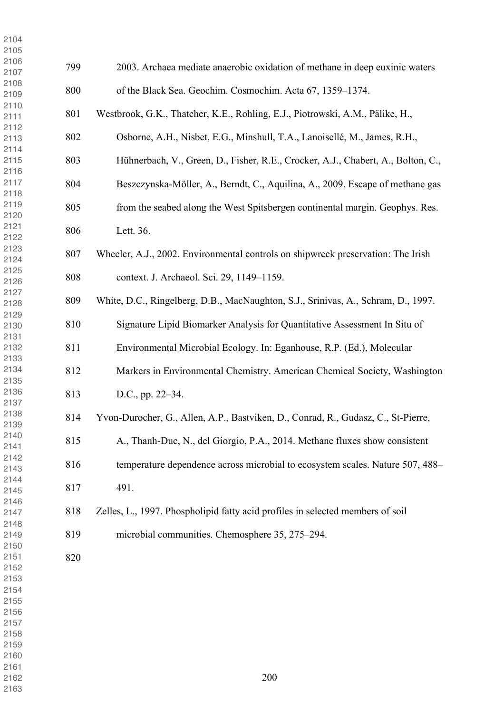| 2105                                                                                 |     |                                                                                   |
|--------------------------------------------------------------------------------------|-----|-----------------------------------------------------------------------------------|
| 2106<br>2107                                                                         | 799 | 2003. Archaea mediate anaerobic oxidation of methane in deep euxinic waters       |
| 2108<br>2109                                                                         | 800 | of the Black Sea. Geochim. Cosmochim. Acta 67, 1359-1374.                         |
| 2110<br>2111                                                                         | 801 | Westbrook, G.K., Thatcher, K.E., Rohling, E.J., Piotrowski, A.M., Pälike, H.,     |
| 2112<br>2113<br>2114                                                                 | 802 | Osborne, A.H., Nisbet, E.G., Minshull, T.A., Lanoisellé, M., James, R.H.,         |
| 2115<br>2116                                                                         | 803 | Hühnerbach, V., Green, D., Fisher, R.E., Crocker, A.J., Chabert, A., Bolton, C.,  |
| 2117<br>2118                                                                         | 804 | Beszczynska-Möller, A., Berndt, C., Aquilina, A., 2009. Escape of methane gas     |
| 2119<br>2120                                                                         | 805 | from the seabed along the West Spitsbergen continental margin. Geophys. Res.      |
| 2121<br>2122                                                                         | 806 | Lett. 36.                                                                         |
| 2123<br>2124                                                                         | 807 | Wheeler, A.J., 2002. Environmental controls on shipwreck preservation: The Irish  |
| 2125<br>2126                                                                         | 808 | context. J. Archaeol. Sci. 29, 1149-1159.                                         |
| 2127<br>2128                                                                         | 809 | White, D.C., Ringelberg, D.B., MacNaughton, S.J., Srinivas, A., Schram, D., 1997. |
| 2129<br>2130                                                                         | 810 | Signature Lipid Biomarker Analysis for Quantitative Assessment In Situ of         |
| 2131<br>2132<br>2133                                                                 | 811 | Environmental Microbial Ecology. In: Eganhouse, R.P. (Ed.), Molecular             |
| 2134<br>2135                                                                         | 812 | Markers in Environmental Chemistry. American Chemical Society, Washington         |
| 2136<br>2137                                                                         | 813 | D.C., pp. 22–34.                                                                  |
| 2138<br>2139                                                                         | 814 | Yvon-Durocher, G., Allen, A.P., Bastviken, D., Conrad, R., Gudasz, C., St-Pierre, |
| 2140<br>2141                                                                         | 815 | A., Thanh-Duc, N., del Giorgio, P.A., 2014. Methane fluxes show consistent        |
| 2142<br>2143                                                                         | 816 | temperature dependence across microbial to ecosystem scales. Nature 507, 488–     |
| 2144<br>2145                                                                         | 817 | 491.                                                                              |
| 2146<br>2147<br>2148                                                                 | 818 | Zelles, L., 1997. Phospholipid fatty acid profiles in selected members of soil    |
| 2149<br>2150                                                                         | 819 | microbial communities. Chemosphere 35, 275–294.                                   |
| 2151<br>2152<br>2153<br>2154<br>2155<br>2156<br>2157<br>2158<br>2159<br>2160<br>2161 | 820 |                                                                                   |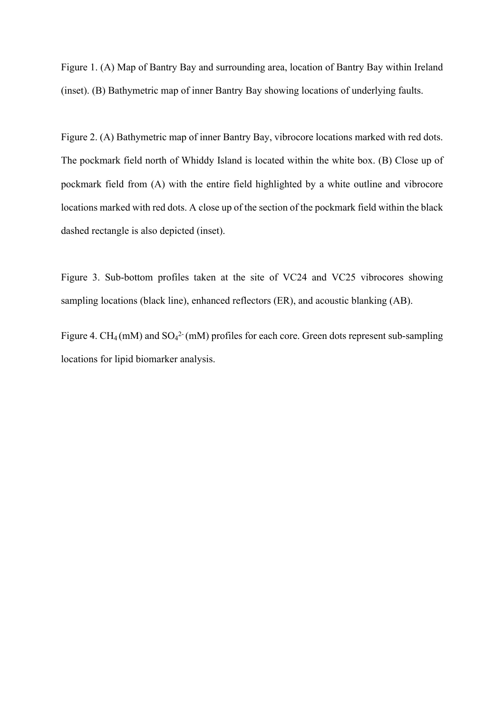Figure 1. (A) Map of Bantry Bay and surrounding area, location of Bantry Bay within Ireland (inset). (B) Bathymetric map of inner Bantry Bay showing locations of underlying faults.

Figure 2. (A) Bathymetric map of inner Bantry Bay, vibrocore locations marked with red dots. The pockmark field north of Whiddy Island is located within the white box. (B) Close up of pockmark field from (A) with the entire field highlighted by a white outline and vibrocore locations marked with red dots. A close up of the section of the pockmark field within the black dashed rectangle is also depicted (inset).

Figure 3. Sub-bottom profiles taken at the site of VC24 and VC25 vibrocores showing sampling locations (black line), enhanced reflectors (ER), and acoustic blanking (AB).

Figure 4. CH<sub>4</sub> (mM) and  $SO_4^2$ <sup>-</sup> (mM) profiles for each core. Green dots represent sub-sampling locations for lipid biomarker analysis.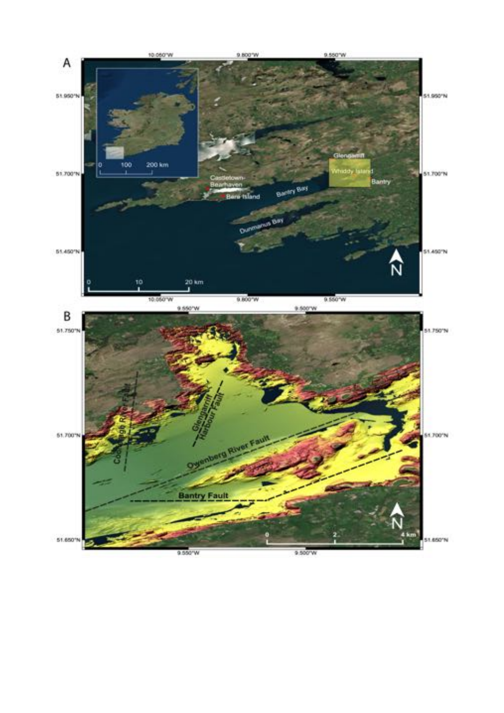

9.550°W

 $9,500$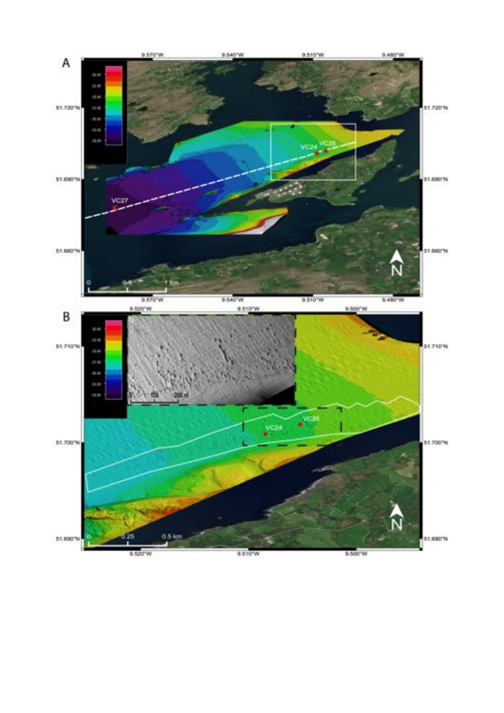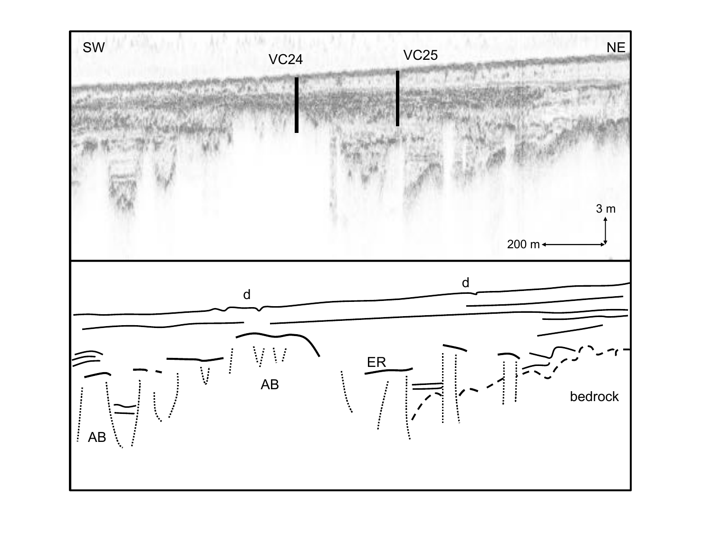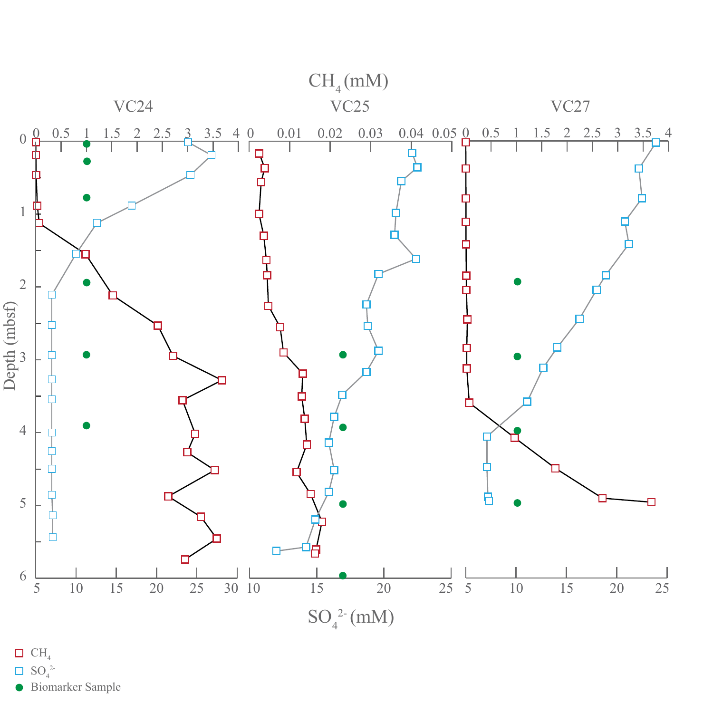

 $SO_4^2$ 

Biomarker Sample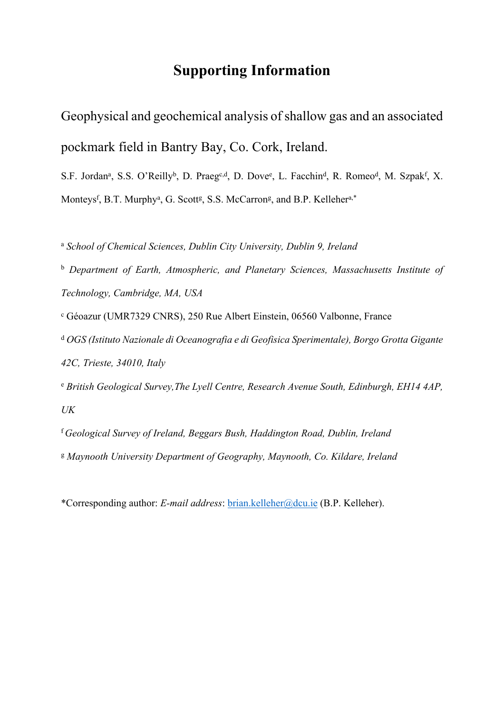# **Supporting Information**

Geophysical and geochemical analysis of shallow gas and an associated pockmark field in Bantry Bay, Co. Cork, Ireland.

S.F. Jordan<sup>a</sup>, S.S. O'Reilly<sup>b</sup>, D. Praeg<sup>c,d</sup>, D. Dove<sup>e</sup>, L. Facchin<sup>d</sup>, R. Romeo<sup>d</sup>, M. Szpak<sup>f</sup>, X. Monteys<sup>f</sup>, B.T. Murphy<sup>a</sup>, G. Scott<sup>g</sup>, S.S. McCarron<sup>g</sup>, and B.P. Kelleher<sup>a,\*</sup>

<sup>a</sup> *School of Chemical Sciences, Dublin City University, Dublin 9, Ireland*

<sup>b</sup> *Department of Earth, Atmospheric, and Planetary Sciences, Massachusetts Institute of Technology, Cambridge, MA, USA*

c Géoazur (UMR7329 CNRS), 250 Rue Albert Einstein, 06560 Valbonne, France

<sup>d</sup> *OGS (Istituto Nazionale di Oceanografia e di Geofisica Sperimentale), Borgo Grotta Gigante 42C, Trieste, 34010, Italy*

<sup>e</sup> *British Geological Survey,The Lyell Centre, Research Avenue South, Edinburgh, EH14 4AP, UK*

<sup>f</sup> *Geological Survey of Ireland, Beggars Bush, Haddington Road, Dublin, Ireland* <sup>g</sup> *Maynooth University Department of Geography, Maynooth, Co. Kildare, Ireland*

\*Corresponding author: *E-mail address*: [brian.kelleher@dcu.ie](mailto:brian.kelleher@dcu.ie) (B.P. Kelleher).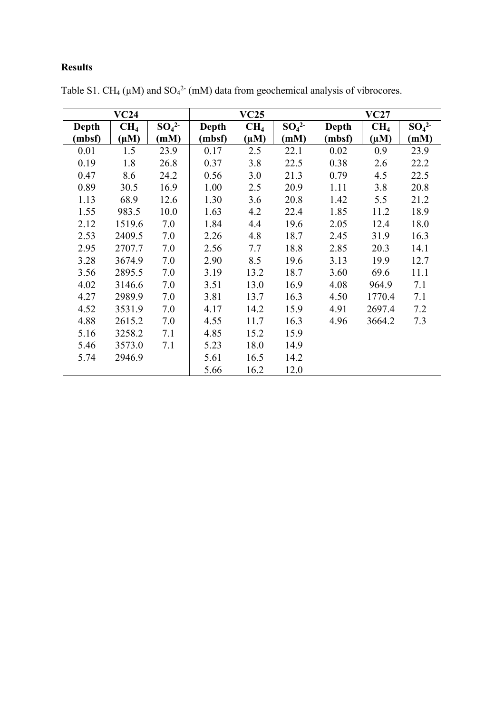# **Results**

|        | <b>VC24</b>     |                              | VC25   |                 |                              | VC27   |                 |                              |
|--------|-----------------|------------------------------|--------|-----------------|------------------------------|--------|-----------------|------------------------------|
| Depth  | CH <sub>4</sub> | SO <sub>4</sub> <sup>2</sup> | Depth  | CH <sub>4</sub> | SO <sub>4</sub> <sup>2</sup> | Depth  | CH <sub>4</sub> | SO <sub>4</sub> <sup>2</sup> |
| (mbsf) | $(\mu M)$       | (mM)                         | (mbsf) | $(\mu M)$       | (mM)                         | (mbsf) | $(\mu M)$       | (mM)                         |
| 0.01   | 1.5             | 23.9                         | 0.17   | 2.5             | 22.1                         | 0.02   | 0.9             | 23.9                         |
| 0.19   | 1.8             | 26.8                         | 0.37   | 3.8             | 22.5                         | 0.38   | 2.6             | 22.2                         |
| 0.47   | 8.6             | 24.2                         | 0.56   | 3.0             | 21.3                         | 0.79   | 4.5             | 22.5                         |
| 0.89   | 30.5            | 16.9                         | 1.00   | 2.5             | 20.9                         | 1.11   | 3.8             | 20.8                         |
| 1.13   | 68.9            | 12.6                         | 1.30   | 3.6             | 20.8                         | 1.42   | 5.5             | 21.2                         |
| 1.55   | 983.5           | 10.0                         | 1.63   | 4.2             | 22.4                         | 1.85   | 11.2            | 18.9                         |
| 2.12   | 1519.6          | 7.0                          | 1.84   | 4.4             | 19.6                         | 2.05   | 12.4            | 18.0                         |
| 2.53   | 2409.5          | 7.0                          | 2.26   | 4.8             | 18.7                         | 2.45   | 31.9            | 16.3                         |
| 2.95   | 2707.7          | 7.0                          | 2.56   | 7.7             | 18.8                         | 2.85   | 20.3            | 14.1                         |
| 3.28   | 3674.9          | 7.0                          | 2.90   | 8.5             | 19.6                         | 3.13   | 19.9            | 12.7                         |
| 3.56   | 2895.5          | 7.0                          | 3.19   | 13.2            | 18.7                         | 3.60   | 69.6            | 11.1                         |
| 4.02   | 3146.6          | 7.0                          | 3.51   | 13.0            | 16.9                         | 4.08   | 964.9           | 7.1                          |
| 4.27   | 2989.9          | 7.0                          | 3.81   | 13.7            | 16.3                         | 4.50   | 1770.4          | 7.1                          |
| 4.52   | 3531.9          | 7.0                          | 4.17   | 14.2            | 15.9                         | 4.91   | 2697.4          | 7.2                          |
| 4.88   | 2615.2          | 7.0                          | 4.55   | 11.7            | 16.3                         | 4.96   | 3664.2          | 7.3                          |
| 5.16   | 3258.2          | 7.1                          | 4.85   | 15.2            | 15.9                         |        |                 |                              |
| 5.46   | 3573.0          | 7.1                          | 5.23   | 18.0            | 14.9                         |        |                 |                              |
| 5.74   | 2946.9          |                              | 5.61   | 16.5            | 14.2                         |        |                 |                              |
|        |                 |                              | 5.66   | 16.2            | 12.0                         |        |                 |                              |

Table S1. CH<sub>4</sub> ( $\mu$ M) and SO<sub>4</sub><sup>2</sup> (mM) data from geochemical analysis of vibrocores.